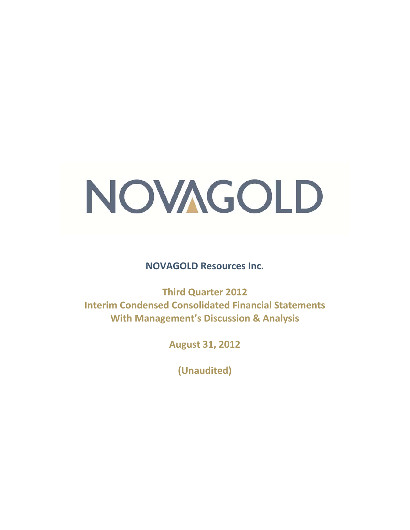# NOVAGOLD

**NOVAGOLD Resources Inc.** 

**Third Quarter 2012 Interim Condensed Consolidated Financial Statements With Management's Discussion & Analysis** 

**August 31, 2012** 

**(Unaudited)**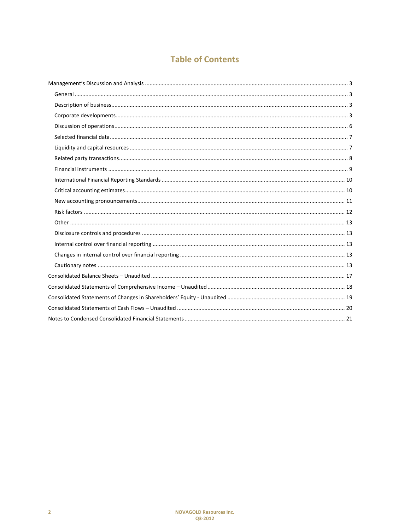# **Table of Contents**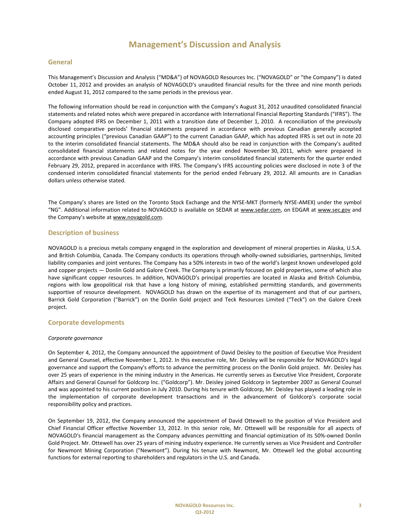#### **General**

This Management's Discussion and Analysis ("MD&A") of NOVAGOLD Resources Inc. ("NOVAGOLD" or "the Company") is dated October 11, 2012 and provides an analysis of NOVAGOLD's unaudited financial results for the three and nine month periods ended August 31, 2012 compared to the same periods in the previous year.

The following information should be read in conjunction with the Company's August 31, 2012 unaudited consolidated financial statements and related notes which were prepared in accordance with International Financial Reporting Standards ("IFRS"). The Company adopted IFRS on December 1, 2011 with a transition date of December 1, 2010. A reconciliation of the previously disclosed comparative periods' financial statements prepared in accordance with previous Canadian generally accepted accounting principles ("previous Canadian GAAP") to the current Canadian GAAP, which has adopted IFRS is set out in note 20 to the interim consolidated financial statements. The MD&A should also be read in conjunction with the Company's audited consolidated financial statements and related notes for the year ended November 30, 2011, which were prepared in accordance with previous Canadian GAAP and the Company's interim consolidated financial statements for the quarter ended February 29, 2012, prepared in accordance with IFRS. The Company's IFRS accounting policies were disclosed in note 3 of the condensed interim consolidated financial statements for the period ended February 29, 2012. All amounts are in Canadian dollars unless otherwise stated.

The Company's shares are listed on the Toronto Stock Exchange and the NYSE-MKT (formerly NYSE-AMEX) under the symbol "NG". Additional information related to NOVAGOLD is available on SEDAR at www.sedar.com, on EDGAR at www.sec.gov and the Company's website at www.novagold.com.

#### **Description of business**

NOVAGOLD is a precious metals company engaged in the exploration and development of mineral properties in Alaska, U.S.A. and British Columbia, Canada. The Company conducts its operations through wholly-owned subsidiaries, partnerships, limited liability companies and joint ventures. The Company has a 50% interests in two of the world's largest known undeveloped gold and copper projects — Donlin Gold and Galore Creek. The Company is primarily focused on gold properties, some of which also have significant copper resources. In addition, NOVAGOLD's principal properties are located in Alaska and British Columbia, regions with low geopolitical risk that have a long history of mining, established permitting standards, and governments supportive of resource development. NOVAGOLD has drawn on the expertise of its management and that of our partners, Barrick Gold Corporation ("Barrick") on the Donlin Gold project and Teck Resources Limited ("Teck") on the Galore Creek project.

#### **Corporate developments**

#### *Corporate governance*

On September 4, 2012, the Company announced the appointment of David Deisley to the position of Executive Vice President and General Counsel, effective November 1, 2012. In this executive role, Mr. Deisley will be responsible for NOVAGOLD's legal governance and support the Company's efforts to advance the permitting process on the Donlin Gold project. Mr. Deisley has over 25 years of experience in the mining industry in the Americas. He currently serves as Executive Vice President, Corporate Affairs and General Counsel for Goldcorp Inc. ("Goldcorp"). Mr. Deisley joined Goldcorp in September 2007 as General Counsel and was appointed to his current position in July 2010. During his tenure with Goldcorp, Mr. Deisley has played a leading role in the implementation of corporate development transactions and in the advancement of Goldcorp's corporate social responsibility policy and practices.

On September 19, 2012, the Company announced the appointment of David Ottewell to the position of Vice President and Chief Financial Officer effective November 13, 2012. In this senior role, Mr. Ottewell will be responsible for all aspects of NOVAGOLD's financial management as the Company advances permitting and financial optimization of its 50%-owned Donlin Gold Project. Mr. Ottewell has over 25 years of mining industry experience. He currently serves as Vice President and Controller for Newmont Mining Corporation ("Newmont"). During his tenure with Newmont, Mr. Ottewell led the global accounting functions for external reporting to shareholders and regulators in the U.S. and Canada.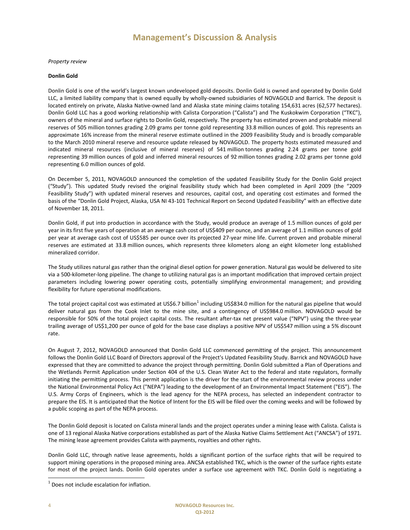*Property review* 

#### **Donlin Gold**

Donlin Gold is one of the world's largest known undeveloped gold deposits. Donlin Gold is owned and operated by Donlin Gold LLC, a limited liability company that is owned equally by wholly-owned subsidiaries of NOVAGOLD and Barrick. The deposit is located entirely on private, Alaska Native-owned land and Alaska state mining claims totaling 154,631 acres (62,577 hectares). Donlin Gold LLC has a good working relationship with Calista Corporation ("Calista") and The Kuskokwim Corporation ("TKC"), owners of the mineral and surface rights to Donlin Gold, respectively. The property has estimated proven and probable mineral reserves of 505 million tonnes grading 2.09 grams per tonne gold representing 33.8 million ounces of gold. This represents an approximate 16% increase from the mineral reserve estimate outlined in the 2009 Feasibility Study and is broadly comparable to the March 2010 mineral reserve and resource update released by NOVAGOLD. The property hosts estimated measured and indicated mineral resources (inclusive of mineral reserves) of 541 million tonnes grading 2.24 grams per tonne gold representing 39 million ounces of gold and inferred mineral resources of 92 million tonnes grading 2.02 grams per tonne gold representing 6.0 million ounces of gold.

On December 5, 2011, NOVAGOLD announced the completion of the updated Feasibility Study for the Donlin Gold project ("Study"). This updated Study revised the original feasibility study which had been completed in April 2009 (the "2009 Feasibility Study") with updated mineral reserves and resources, capital cost, and operating cost estimates and formed the basis of the "Donlin Gold Project, Alaska, USA NI 43-101 Technical Report on Second Updated Feasibility" with an effective date of November 18, 2011.

Donlin Gold, if put into production in accordance with the Study, would produce an average of 1.5 million ounces of gold per year in its first five years of operation at an average cash cost of US\$409 per ounce, and an average of 1.1 million ounces of gold per year at average cash cost of US\$585 per ounce over its projected 27-year mine life. Current proven and probable mineral reserves are estimated at 33.8 million ounces, which represents three kilometers along an eight kilometer long established mineralized corridor.

The Study utilizes natural gas rather than the original diesel option for power generation. Natural gas would be delivered to site via a 500-kilometer-long pipeline. The change to utilizing natural gas is an important modification that improved certain project parameters including lowering power operating costs, potentially simplifying environmental management; and providing flexibility for future operational modifications.

The total project capital cost was estimated at US\$6.7 billion<sup>1</sup> including US\$834.0 million for the natural gas pipeline that would deliver natural gas from the Cook Inlet to the mine site, and a contingency of US\$984.0 million. NOVAGOLD would be responsible for 50% of the total project capital costs. The resultant after-tax net present value ("NPV") using the three-year trailing average of US\$1,200 per ounce of gold for the base case displays a positive NPV of US\$547 million using a 5% discount rate.

On August 7, 2012, NOVAGOLD announced that Donlin Gold LLC commenced permitting of the project. This announcement follows the Donlin Gold LLC Board of Directors approval of the Project's Updated Feasibility Study. Barrick and NOVAGOLD have expressed that they are committed to advance the project through permitting. Donlin Gold submitted a Plan of Operations and the Wetlands Permit Application under Section 404 of the U.S. Clean Water Act to the federal and state regulators, formally initiating the permitting process. This permit application is the driver for the start of the environmental review process under the National Environmental Policy Act ("NEPA") leading to the development of an Environmental Impact Statement ("EIS"). The U.S. Army Corps of Engineers, which is the lead agency for the NEPA process, has selected an independent contractor to prepare the EIS. It is anticipated that the Notice of Intent for the EIS will be filed over the coming weeks and will be followed by a public scoping as part of the NEPA process.

The Donlin Gold deposit is located on Calista mineral lands and the project operates under a mining lease with Calista. Calista is one of 13 regional Alaska Native corporations established as part of the Alaska Native Claims Settlement Act ("ANCSA") of 1971. The mining lease agreement provides Calista with payments, royalties and other rights.

Donlin Gold LLC, through native lease agreements, holds a significant portion of the surface rights that will be required to support mining operations in the proposed mining area. ANCSA established TKC, which is the owner of the surface rights estate for most of the project lands. Donlin Gold operates under a surface use agreement with TKC. Donlin Gold is negotiating a

 $\overline{a}$ 

 $1$  Does not include escalation for inflation.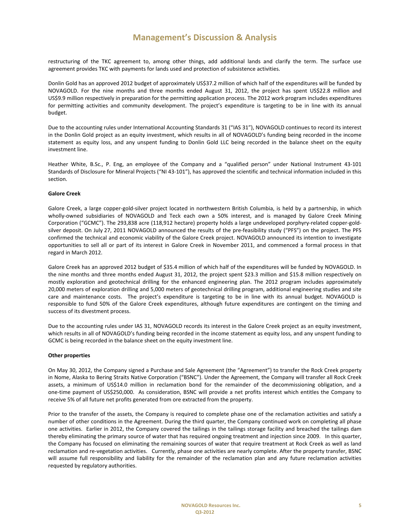restructuring of the TKC agreement to, among other things, add additional lands and clarify the term. The surface use agreement provides TKC with payments for lands used and protection of subsistence activities.

Donlin Gold has an approved 2012 budget of approximately US\$37.2 million of which half of the expenditures will be funded by NOVAGOLD. For the nine months and three months ended August 31, 2012, the project has spent US\$22.8 million and US\$9.9 million respectively in preparation for the permitting application process. The 2012 work program includes expenditures for permitting activities and community development. The project's expenditure is targeting to be in line with its annual budget.

Due to the accounting rules under International Accounting Standards 31 ("IAS 31"), NOVAGOLD continues to record its interest in the Donlin Gold project as an equity investment, which results in all of NOVAGOLD's funding being recorded in the income statement as equity loss, and any unspent funding to Donlin Gold LLC being recorded in the balance sheet on the equity investment line.

Heather White, B.Sc., P. Eng, an employee of the Company and a "qualified person" under National Instrument 43-101 Standards of Disclosure for Mineral Projects ("NI 43-101"), has approved the scientific and technical information included in this section.

#### **Galore Creek**

Galore Creek, a large copper-gold-silver project located in northwestern British Columbia, is held by a partnership, in which wholly-owned subsidiaries of NOVAGOLD and Teck each own a 50% interest, and is managed by Galore Creek Mining Corporation ("GCMC"). The 293,838 acre (118,912 hectare) property holds a large undeveloped porphyry-related copper-goldsilver deposit. On July 27, 2011 NOVAGOLD announced the results of the pre-feasibility study ("PFS") on the project. The PFS confirmed the technical and economic viability of the Galore Creek project. NOVAGOLD announced its intention to investigate opportunities to sell all or part of its interest in Galore Creek in November 2011, and commenced a formal process in that regard in March 2012.

Galore Creek has an approved 2012 budget of \$35.4 million of which half of the expenditures will be funded by NOVAGOLD. In the nine months and three months ended August 31, 2012, the project spent \$23.3 million and \$15.8 million respectively on mostly exploration and geotechnical drilling for the enhanced engineering plan. The 2012 program includes approximately 20,000 meters of exploration drilling and 5,000 meters of geotechnical drilling program, additional engineering studies and site care and maintenance costs. The project's expenditure is targeting to be in line with its annual budget. NOVAGOLD is responsible to fund 50% of the Galore Creek expenditures, although future expenditures are contingent on the timing and success of its divestment process.

Due to the accounting rules under IAS 31, NOVAGOLD records its interest in the Galore Creek project as an equity investment, which results in all of NOVAGOLD's funding being recorded in the income statement as equity loss, and any unspent funding to GCMC is being recorded in the balance sheet on the equity investment line.

#### **Other properties**

On May 30, 2012, the Company signed a Purchase and Sale Agreement (the "Agreement") to transfer the Rock Creek property in Nome, Alaska to Bering Straits Native Corporation ("BSNC"). Under the Agreement, the Company will transfer all Rock Creek assets, a minimum of US\$14.0 million in reclamation bond for the remainder of the decommissioning obligation, and a one-time payment of US\$250,000. As consideration, BSNC will provide a net profits interest which entitles the Company to receive 5% of all future net profits generated from ore extracted from the property.

Prior to the transfer of the assets, the Company is required to complete phase one of the reclamation activities and satisfy a number of other conditions in the Agreement. During the third quarter, the Company continued work on completing all phase one activities. Earlier in 2012, the Company covered the tailings in the tailings storage facility and breached the tailings dam thereby eliminating the primary source of water that has required ongoing treatment and injection since 2009. In this quarter, the Company has focused on eliminating the remaining sources of water that require treatment at Rock Creek as well as land reclamation and re-vegetation activities. Currently, phase one activities are nearly complete. After the property transfer, BSNC will assume full responsibility and liability for the remainder of the reclamation plan and any future reclamation activities requested by regulatory authorities.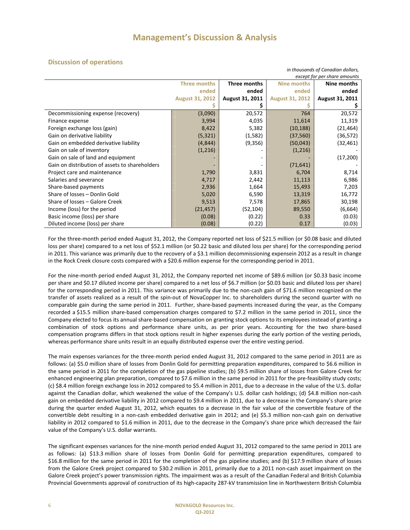*in thousands of Canadian dollars,* 

#### **Discussion of operations**

| except for per share amounts                   |                        |                 |                        |                 |
|------------------------------------------------|------------------------|-----------------|------------------------|-----------------|
|                                                | <b>Three months</b>    | Three months    | <b>Nine months</b>     | Nine months     |
|                                                | ended                  | ended           | ended                  | ended           |
|                                                | <b>August 31, 2012</b> | August 31, 2011 | <b>August 31, 2012</b> | August 31, 2011 |
|                                                |                        |                 |                        |                 |
| Decommissioning expense (recovery)             | (3,090)                | 20,572          | 764                    | 20,572          |
| Finance expense                                | 3,994                  | 4,035           | 11,614                 | 11,319          |
| Foreign exchange loss (gain)                   | 8,422                  | 5,382           | (10, 188)              | (21, 464)       |
| Gain on derivative liability                   | (5, 321)               | (1,582)         | (37, 560)              | (36,572)        |
| Gain on embedded derivative liability          | (4,844)                | (9, 356)        | (50,043)               | (32,461)        |
| Gain on sale of inventory                      | (1,216)                |                 | (1,216)                |                 |
| Gain on sale of land and equipment             |                        |                 |                        | (17,200)        |
| Gain on distribution of assets to shareholders |                        |                 | (71, 641)              |                 |
| Project care and maintenance                   | 1,790                  | 3,831           | 6,704                  | 8,714           |
| Salaries and severance                         | 4,717                  | 2,442           | 11,113                 | 6,986           |
| Share-based payments                           | 2,936                  | 1,664           | 15,493                 | 7,203           |
| Share of losses - Donlin Gold                  | 5,020                  | 6,590           | 13,319                 | 16,772          |
| Share of losses - Galore Creek                 | 9,513                  | 7,578           | 17,865                 | 30,198          |
| Income (loss) for the period                   | (21, 457)              | (52, 104)       | 89,550                 | (6,664)         |
| Basic income (loss) per share                  | (0.08)                 | (0.22)          | 0.33                   | (0.03)          |
| Diluted income (loss) per share                | (0.08)                 | (0.22)          | 0.17                   | (0.03)          |

For the three-month period ended August 31, 2012, the Company reported net loss of \$21.5 million (or \$0.08 basic and diluted loss per share) compared to a net loss of \$52.1 million (or \$0.22 basic and diluted loss per share) for the corresponding period in 2011. This variance was primarily due to the recovery of a \$3.1 million decommissioning expensein 2012 as a result in change in the Rock Creek closure costs compared with a \$20.6 million expense for the corresponding period in 2011.

For the nine-month period ended August 31, 2012, the Company reported net income of \$89.6 million (or \$0.33 basic income per share and \$0.17 diluted income per share) compared to a net loss of \$6.7 million (or \$0.03 basic and diluted loss per share) for the corresponding period in 2011. This variance was primarily due to the non-cash gain of \$71.6 million recognized on the transfer of assets realized as a result of the spin-out of NovaCopper Inc. to shareholders during the second quarter with no comparable gain during the same period in 2011. Further, share-based payments increased during the year, as the Company recorded a \$15.5 million share-based compensation charges compared to \$7.2 million in the same period in 2011, since the Company elected to focus its annual share-based compensation on granting stock options to its employees instead of granting a combination of stock options and performance share units, as per prior years. Accounting for the two share-based compensation programs differs in that stock options result in higher expenses during the early portion of the vesting periods, whereas performance share units result in an equally distributed expense over the entire vesting period.

The main expenses variances for the three-month period ended August 31, 2012 compared to the same period in 2011 are as follows: (a) \$5.0 million share of losses from Donlin Gold for permitting preparation expenditures, compared to \$6.6 million in the same period in 2011 for the completion of the gas pipeline studies; (b) \$9.5 million share of losses from Galore Creek for enhanced engineering plan preparation, compared to \$7.6 million in the same period in 2011 for the pre-feasibility study costs; (c) \$8.4 million foreign exchange loss in 2012 compared to \$5.4 million in 2011, due to a decrease in the value of the U.S. dollar against the Canadian dollar, which weakened the value of the Company's U.S. dollar cash holdings; (d) \$4.8 million non-cash gain on embedded derivative liability in 2012 compared to \$9.4 million in 2011, due to a decrease in the Company's share price during the quarter ended August 31, 2012, which equates to a decrease in the fair value of the convertible feature of the convertible debt resulting in a non-cash embedded derivative gain in 2012; and (e) \$5.3 million non-cash gain on derivative liability in 2012 compared to \$1.6 million in 2011, due to the decrease in the Company's share price which decreased the fair value of the Company's U.S. dollar warrants.

The significant expenses variances for the nine-month period ended August 31, 2012 compared to the same period in 2011 are as follows: (a) \$13.3 million share of losses from Donlin Gold for permitting preparation expenditures, compared to \$16.8 million for the same period in 2011 for the completion of the gas pipeline studies; and (b) \$17.9 million share of losses from the Galore Creek project compared to \$30.2 million in 2011, primarily due to a 2011 non-cash asset impairment on the Galore Creek project's power transmission rights. The impairment was as a result of the Canadian Federal and British Columbia Provincial Governments approval of construction of its high-capacity 287-kV transmission line in Northwestern British Columbia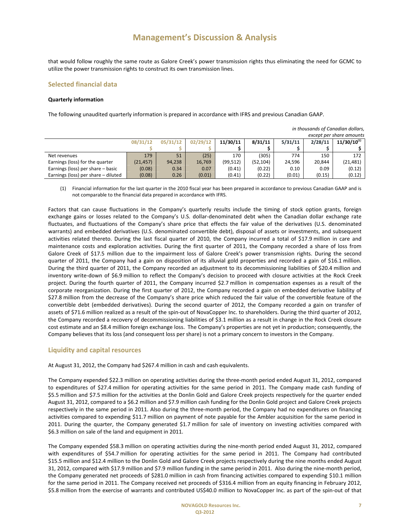that would follow roughly the same route as Galore Creek's power transmission rights thus eliminating the need for GCMC to utilize the power transmission rights to construct its own transmission lines.

#### **Selected financial data**

#### **Quarterly information**

The following unaudited quarterly information is prepared in accordance with IFRS and previous Canadian GAAP.

|                                     |           |          |          |           |           |         |         | except per share amounts |
|-------------------------------------|-----------|----------|----------|-----------|-----------|---------|---------|--------------------------|
|                                     | 08/31/12  | 05/31/12 | 02/29/12 | 11/30/11  | 8/31/11   | 5/31/11 | 2/28/11 | $11/30/10^{(1)}$         |
|                                     |           |          |          |           |           |         |         |                          |
| Net revenues                        | 179       | 51       | (25)     | 170       | (305)     | 774     | 150     | 172                      |
| Earnings (loss) for the quarter     | (21, 457) | 94,238   | 16,769   | (99, 512) | (52, 104) | 24,596  | 20.844  | (21,481)                 |
| Earnings (loss) per share - basic   | (0.08)    | 0.34     | 0.07     | (0.41)    | (0.22)    | 0.10    | 0.09    | (0.12)                   |
| Earnings (loss) per share - diluted | (0.08)    | 0.26     | (0.01)   | (0.41)    | (0.22)    | (0.01)  | (0.15)  | (0.12)                   |

(1) Financial information for the last quarter in the 2010 fiscal year has been prepared in accordance to previous Canadian GAAP and is not comparable to the financial data prepared in accordance with IFRS.

Factors that can cause fluctuations in the Company's quarterly results include the timing of stock option grants, foreign exchange gains or losses related to the Company's U.S. dollar-denominated debt when the Canadian dollar exchange rate fluctuates, and fluctuations of the Company's share price that effects the fair value of the derivatives (U.S. denominated warrants) and embedded derivatives (U.S. denominated convertible debt), disposal of assets or investments, and subsequent activities related thereto. During the last fiscal quarter of 2010, the Company incurred a total of \$17.9 million in care and maintenance costs and exploration activities. During the first quarter of 2011, the Company recorded a share of loss from Galore Creek of \$17.5 million due to the impairment loss of Galore Creek's power transmission rights. During the second quarter of 2011, the Company had a gain on disposition of its alluvial gold properties and recorded a gain of \$16.1 million. During the third quarter of 2011, the Company recorded an adjustment to its decommissioning liabilities of \$20.4 million and inventory write-down of \$6.9 million to reflect the Company's decision to proceed with closure activities at the Rock Creek project. During the fourth quarter of 2011, the Company incurred \$2.7 million in compensation expenses as a result of the corporate reorganization. During the first quarter of 2012, the Company recorded a gain on embedded derivative liability of \$27.8 million from the decrease of the Company's share price which reduced the fair value of the convertible feature of the convertible debt (embedded derivatives). During the second quarter of 2012, the Company recorded a gain on transfer of assets of \$71.6 million realized as a result of the spin-out of NovaCopper Inc. to shareholders. During the third quarter of 2012, the Company recorded a recovery of decommissioning liabilities of \$3.1 million as a result in change in the Rock Creek closure cost estimate and an \$8.4 million foreign exchange loss. The Company's properties are not yet in production; consequently, the Company believes that its loss (and consequent loss per share) is not a primary concern to investors in the Company.

#### **Liquidity and capital resources**

At August 31, 2012, the Company had \$267.4 million in cash and cash equivalents.

The Company expended \$22.3 million on operating activities during the three-month period ended August 31, 2012, compared to expenditures of \$27.4 million for operating activities for the same period in 2011. The Company made cash funding of \$5.5 million and \$7.5 million for the activities at the Donlin Gold and Galore Creek projects respectively for the quarter ended August 31, 2012, compared to a \$6.2 million and \$7.9 million cash funding for the Donlin Gold project and Galore Creek projects respectively in the same period in 2011. Also during the three-month period, the Company had no expenditures on financing activities compared to expending \$11.7 million on payment of note payable for the Ambler acquisition for the same period in 2011. During the quarter, the Company generated \$1.7 million for sale of inventory on investing activities compared with \$6.3 million on sale of the land and equipment in 2011.

The Company expended \$58.3 million on operating activities during the nine-month period ended August 31, 2012, compared with expenditures of \$54.7 million for operating activities for the same period in 2011. The Company had contributed \$15.5 million and \$12.4 million to the Donlin Gold and Galore Creek projects respectively during the nine months ended August 31, 2012, compared with \$17.9 million and \$7.9 million funding in the same period in 2011. Also during the nine-month period, the Company generated net proceeds of \$281.0 million in cash from financing activities compared to expending \$10.1 million for the same period in 2011. The Company received net proceeds of \$316.4 million from an equity financing in February 2012, \$5.8 million from the exercise of warrants and contributed US\$40.0 million to NovaCopper Inc. as part of the spin-out of that

*in thousands of Canadian dollars,*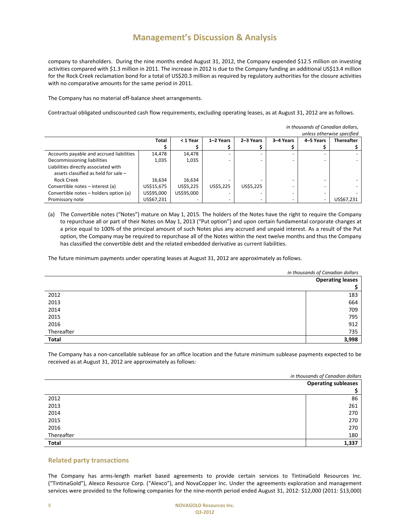company to shareholders. During the nine months ended August 31, 2012, the Company expended \$12.5 million on investing activities compared with \$1.3 million in 2011. The increase in 2012 is due to the Company funding an additional US\$13.4 million for the Rock Creek reclamation bond for a total of US\$20.3 million as required by regulatory authorities for the closure activities with no comparative amounts for the same period in 2011.

The Company has no material off-balance sheet arrangements.

Contractual obligated undiscounted cash flow requirements, excluding operating leases, as at August 31, 2012 are as follows.

|                                          |              |            |           |           |           | in thousands of Canadian dollars, |                            |
|------------------------------------------|--------------|------------|-----------|-----------|-----------|-----------------------------------|----------------------------|
|                                          |              |            |           |           |           |                                   | unless otherwise specified |
|                                          | <b>Total</b> | < 1 Year   | 1-2 Years | 2-3 Years | 3-4 Years | 4-5 Years                         | <b>Thereafter</b>          |
|                                          |              |            |           |           |           |                                   |                            |
| Accounts payable and accrued liabilities | 14,478       | 14,478     |           |           |           |                                   |                            |
| Decommissioning liabilities              | 1,035        | 1,035      |           |           |           |                                   |                            |
| Liabilities directly associated with     |              |            |           |           |           |                                   |                            |
| assets classified as held for sale -     |              |            |           |           |           |                                   |                            |
| Rock Creek                               | 16,634       | 16,634     |           |           |           |                                   |                            |
| Convertible notes - interest (a)         | US\$15,675   | US\$5,225  | US\$5.225 | US\$5,225 |           |                                   |                            |
| Convertible notes - holders option (a)   | US\$95,000   | US\$95,000 |           |           | -         |                                   |                            |
| Promissory note                          | US\$67,231   |            |           |           |           |                                   | US\$67,231                 |

(a) The Convertible notes ("Notes") mature on May 1, 2015. The holders of the Notes have the right to require the Company to repurchase all or part of their Notes on May 1, 2013 ("Put option") and upon certain fundamental corporate changes at a price equal to 100% of the principal amount of such Notes plus any accrued and unpaid interest. As a result of the Put option, the Company may be required to repurchase all of the Notes within the next twelve months and thus the Company has classified the convertible debt and the related embedded derivative as current liabilities.

The future minimum payments under operating leases at August 31, 2012 are approximately as follows.

|              | in thousands of Canadian dollars |  |  |
|--------------|----------------------------------|--|--|
|              | <b>Operating leases</b>          |  |  |
|              |                                  |  |  |
| 2012         | 183                              |  |  |
| 2013         | 664                              |  |  |
| 2014         | 709                              |  |  |
| 2015         | 795                              |  |  |
| 2016         | 912                              |  |  |
| Thereafter   | 735                              |  |  |
| <b>Total</b> | 3,998                            |  |  |

The Company has a non-cancellable sublease for an office location and the future minimum sublease payments expected to be received as at August 31, 2012 are approximately as follows:

|            | in thousands of Canadian dollars |
|------------|----------------------------------|
|            | <b>Operating subleases</b>       |
|            |                                  |
| 2012       | 86                               |
| 2013       | 261                              |
| 2014       | 270                              |
| 2015       | 270                              |
| 2016       | 270                              |
| Thereafter | 180                              |
| Total      | 1,337                            |

#### **Related party transactions**

The Company has arms-length market based agreements to provide certain services to TintinaGold Resources Inc. ("TintinaGold"), Alexco Resource Corp. ("Alexco"), and NovaCopper Inc. Under the agreements exploration and management services were provided to the following companies for the nine-month period ended August 31, 2012: \$12,000 (2011: \$13,000)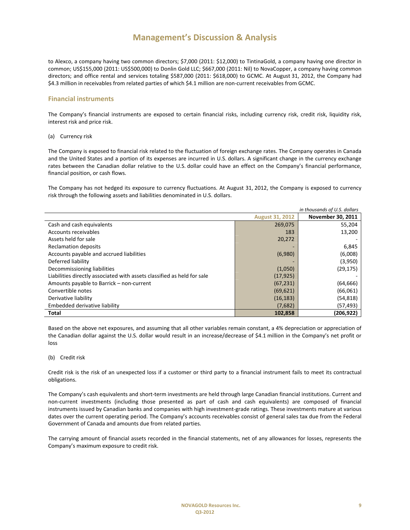to Alexco, a company having two common directors; \$7,000 (2011: \$12,000) to TintinaGold, a company having one director in common; US\$155,000 (2011: US\$500,000) to Donlin Gold LLC; \$667,000 (2011: Nil) to NovaCopper, a company having common directors; and office rental and services totaling \$587,000 (2011: \$618,000) to GCMC. At August 31, 2012, the Company had \$4.3 million in receivables from related parties of which \$4.1 million are non-current receivables from GCMC.

#### **Financial instruments**

The Company's financial instruments are exposed to certain financial risks, including currency risk, credit risk, liquidity risk, interest risk and price risk.

(a) Currency risk

The Company is exposed to financial risk related to the fluctuation of foreign exchange rates. The Company operates in Canada and the United States and a portion of its expenses are incurred in U.S. dollars. A significant change in the currency exchange rates between the Canadian dollar relative to the U.S. dollar could have an effect on the Company's financial performance, financial position, or cash flows.

The Company has not hedged its exposure to currency fluctuations. At August 31, 2012, the Company is exposed to currency risk through the following assets and liabilities denominated in U.S. dollars.

| in thousands of U.S. dollars                                            |                        |                   |  |  |
|-------------------------------------------------------------------------|------------------------|-------------------|--|--|
|                                                                         | <b>August 31, 2012</b> | November 30, 2011 |  |  |
| Cash and cash equivalents                                               | 269,075                | 55,204            |  |  |
| Accounts receivables                                                    | 183                    | 13,200            |  |  |
| Assets held for sale                                                    | 20,272                 |                   |  |  |
| <b>Reclamation deposits</b>                                             |                        | 6,845             |  |  |
| Accounts payable and accrued liabilities                                | (6,980)                | (6,008)           |  |  |
| Deferred liability                                                      |                        | (3,950)           |  |  |
| Decommissioning liabilities                                             | (1,050)                | (29, 175)         |  |  |
| Liabilities directly associated with assets classified as held for sale | (17, 925)              |                   |  |  |
| Amounts payable to Barrick - non-current                                | (67, 231)              | (64, 666)         |  |  |
| Convertible notes                                                       | (69, 621)              | (66,061)          |  |  |
| Derivative liability                                                    | (16, 183)              | (54, 818)         |  |  |
| Embedded derivative liability                                           | (7,682)                | (57,493)          |  |  |
| Total                                                                   | 102,858                | (206, 922)        |  |  |

Based on the above net exposures, and assuming that all other variables remain constant, a 4% depreciation or appreciation of the Canadian dollar against the U.S. dollar would result in an increase/decrease of \$4.1 million in the Company's net profit or loss

#### (b) Credit risk

Credit risk is the risk of an unexpected loss if a customer or third party to a financial instrument fails to meet its contractual obligations.

The Company's cash equivalents and short-term investments are held through large Canadian financial institutions. Current and non-current investments (including those presented as part of cash and cash equivalents) are composed of financial instruments issued by Canadian banks and companies with high investment-grade ratings. These investments mature at various dates over the current operating period. The Company's accounts receivables consist of general sales tax due from the Federal Government of Canada and amounts due from related parties.

The carrying amount of financial assets recorded in the financial statements, net of any allowances for losses, represents the Company's maximum exposure to credit risk.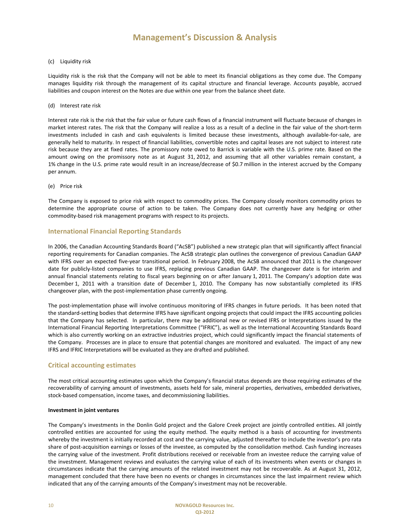#### (c) Liquidity risk

Liquidity risk is the risk that the Company will not be able to meet its financial obligations as they come due. The Company manages liquidity risk through the management of its capital structure and financial leverage. Accounts payable, accrued liabilities and coupon interest on the Notes are due within one year from the balance sheet date.

#### (d) Interest rate risk

Interest rate risk is the risk that the fair value or future cash flows of a financial instrument will fluctuate because of changes in market interest rates. The risk that the Company will realize a loss as a result of a decline in the fair value of the short-term investments included in cash and cash equivalents is limited because these investments, although available-for-sale, are generally held to maturity. In respect of financial liabilities, convertible notes and capital leases are not subject to interest rate risk because they are at fixed rates. The promissory note owed to Barrick is variable with the U.S. prime rate. Based on the amount owing on the promissory note as at August 31, 2012, and assuming that all other variables remain constant, a 1% change in the U.S. prime rate would result in an increase/decrease of \$0.7 million in the interest accrued by the Company per annum.

#### (e) Price risk

The Company is exposed to price risk with respect to commodity prices. The Company closely monitors commodity prices to determine the appropriate course of action to be taken. The Company does not currently have any hedging or other commodity-based risk management programs with respect to its projects.

#### **International Financial Reporting Standards**

In 2006, the Canadian Accounting Standards Board ("AcSB") published a new strategic plan that will significantly affect financial reporting requirements for Canadian companies. The AcSB strategic plan outlines the convergence of previous Canadian GAAP with IFRS over an expected five-year transitional period. In February 2008, the AcSB announced that 2011 is the changeover date for publicly-listed companies to use IFRS, replacing previous Canadian GAAP. The changeover date is for interim and annual financial statements relating to fiscal years beginning on or after January 1, 2011. The Company's adoption date was December 1, 2011 with a transition date of December 1, 2010. The Company has now substantially completed its IFRS changeover plan, with the post-implementation phase currently ongoing.

The post-implementation phase will involve continuous monitoring of IFRS changes in future periods. It has been noted that the standard-setting bodies that determine IFRS have significant ongoing projects that could impact the IFRS accounting policies that the Company has selected. In particular, there may be additional new or revised IFRS or Interpretations issued by the International Financial Reporting Interpretations Committee ("IFRIC"), as well as the International Accounting Standards Board which is also currently working on an extractive industries project, which could significantly impact the financial statements of the Company. Processes are in place to ensure that potential changes are monitored and evaluated. The impact of any new IFRS and IFRIC Interpretations will be evaluated as they are drafted and published.

#### **Critical accounting estimates**

The most critical accounting estimates upon which the Company's financial status depends are those requiring estimates of the recoverability of carrying amount of investments, assets held for sale, mineral properties, derivatives, embedded derivatives, stock-based compensation, income taxes, and decommissioning liabilities.

#### **Investment in joint ventures**

The Company's investments in the Donlin Gold project and the Galore Creek project are jointly controlled entities. All jointly controlled entities are accounted for using the equity method. The equity method is a basis of accounting for investments whereby the investment is initially recorded at cost and the carrying value, adjusted thereafter to include the investor's pro rata share of post-acquisition earnings or losses of the investee, as computed by the consolidation method. Cash funding increases the carrying value of the investment. Profit distributions received or receivable from an investee reduce the carrying value of the investment. Management reviews and evaluates the carrying value of each of its investments when events or changes in circumstances indicate that the carrying amounts of the related investment may not be recoverable. As at August 31, 2012, management concluded that there have been no events or changes in circumstances since the last impairment review which indicated that any of the carrying amounts of the Company's investment may not be recoverable.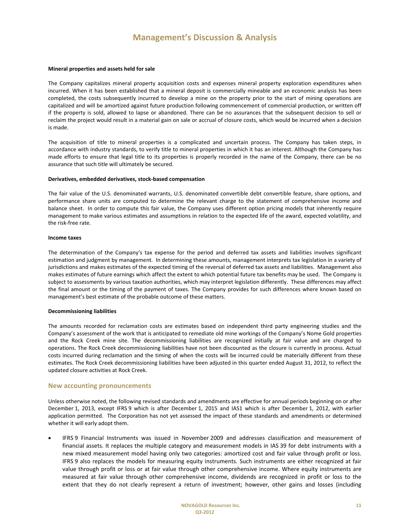#### **Mineral properties and assets held for sale**

The Company capitalizes mineral property acquisition costs and expenses mineral property exploration expenditures when incurred. When it has been established that a mineral deposit is commercially mineable and an economic analysis has been completed, the costs subsequently incurred to develop a mine on the property prior to the start of mining operations are capitalized and will be amortized against future production following commencement of commercial production, or written off if the property is sold, allowed to lapse or abandoned. There can be no assurances that the subsequent decision to sell or reclaim the project would result in a material gain on sale or accrual of closure costs, which would be incurred when a decision is made.

The acquisition of title to mineral properties is a complicated and uncertain process. The Company has taken steps, in accordance with industry standards, to verify title to mineral properties in which it has an interest. Although the Company has made efforts to ensure that legal title to its properties is properly recorded in the name of the Company, there can be no assurance that such title will ultimately be secured.

#### **Derivatives, embedded derivatives, stock-based compensation**

The fair value of the U.S. denominated warrants, U.S. denominated convertible debt convertible feature, share options, and performance share units are computed to determine the relevant charge to the statement of comprehensive income and balance sheet. In order to compute this fair value, the Company uses different option pricing models that inherently require management to make various estimates and assumptions in relation to the expected life of the award, expected volatility, and the risk-free rate.

#### **Income taxes**

The determination of the Company's tax expense for the period and deferred tax assets and liabilities involves significant estimation and judgment by management. In determining these amounts, management interprets tax legislation in a variety of jurisdictions and makes estimates of the expected timing of the reversal of deferred tax assets and liabilities. Management also makes estimates of future earnings which affect the extent to which potential future tax benefits may be used. The Company is subject to assessments by various taxation authorities, which may interpret legislation differently. These differences may affect the final amount or the timing of the payment of taxes. The Company provides for such differences where known based on management's best estimate of the probable outcome of these matters.

#### **Decommissioning liabilities**

The amounts recorded for reclamation costs are estimates based on independent third party engineering studies and the Company's assessment of the work that is anticipated to remediate old mine workings of the Company's Nome Gold properties and the Rock Creek mine site. The decommissioning liabilities are recognized initially at fair value and are charged to operations. The Rock Creek decommissioning liabilities have not been discounted as the closure is currently in process. Actual costs incurred during reclamation and the timing of when the costs will be incurred could be materially different from these estimates. The Rock Creek decommissioning liabilities have been adjusted in this quarter ended August 31, 2012, to reflect the updated closure activities at Rock Creek.

#### **New accounting pronouncements**

Unless otherwise noted, the following revised standards and amendments are effective for annual periods beginning on or after December 1, 2013, except IFRS 9 which is after December 1, 2015 and IAS1 which is after December 1, 2012, with earlier application permitted. The Corporation has not yet assessed the impact of these standards and amendments or determined whether it will early adopt them.

• IFRS 9 Financial Instruments was issued in November 2009 and addresses classification and measurement of financial assets. It replaces the multiple category and measurement models in IAS 39 for debt instruments with a new mixed measurement model having only two categories: amortized cost and fair value through profit or loss. IFRS 9 also replaces the models for measuring equity instruments. Such instruments are either recognized at fair value through profit or loss or at fair value through other comprehensive income. Where equity instruments are measured at fair value through other comprehensive income, dividends are recognized in profit or loss to the extent that they do not clearly represent a return of investment; however, other gains and losses (including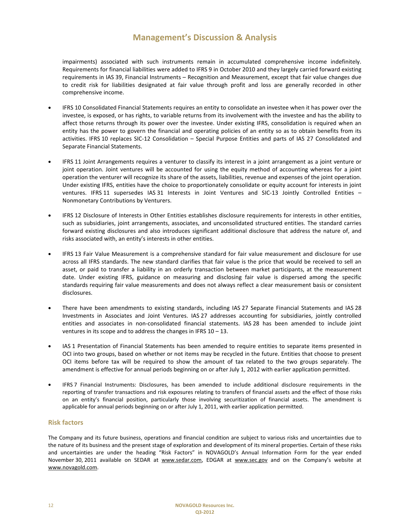impairments) associated with such instruments remain in accumulated comprehensive income indefinitely. Requirements for financial liabilities were added to IFRS 9 in October 2010 and they largely carried forward existing requirements in IAS 39, Financial Instruments – Recognition and Measurement, except that fair value changes due to credit risk for liabilities designated at fair value through profit and loss are generally recorded in other comprehensive income.

- IFRS 10 Consolidated Financial Statements requires an entity to consolidate an investee when it has power over the investee, is exposed, or has rights, to variable returns from its involvement with the investee and has the ability to affect those returns through its power over the investee. Under existing IFRS, consolidation is required when an entity has the power to govern the financial and operating policies of an entity so as to obtain benefits from its activities. IFRS 10 replaces SIC-12 Consolidation – Special Purpose Entities and parts of IAS 27 Consolidated and Separate Financial Statements.
- IFRS 11 Joint Arrangements requires a venturer to classify its interest in a joint arrangement as a joint venture or joint operation. Joint ventures will be accounted for using the equity method of accounting whereas for a joint operation the venturer will recognize its share of the assets, liabilities, revenue and expenses of the joint operation. Under existing IFRS, entities have the choice to proportionately consolidate or equity account for interests in joint ventures. IFRS 11 supersedes IAS 31 Interests in Joint Ventures and SIC-13 Jointly Controlled Entities – Nonmonetary Contributions by Venturers.
- IFRS 12 Disclosure of Interests in Other Entities establishes disclosure requirements for interests in other entities, such as subsidiaries, joint arrangements, associates, and unconsolidated structured entities. The standard carries forward existing disclosures and also introduces significant additional disclosure that address the nature of, and risks associated with, an entity's interests in other entities.
- IFRS 13 Fair Value Measurement is a comprehensive standard for fair value measurement and disclosure for use across all IFRS standards. The new standard clarifies that fair value is the price that would be received to sell an asset, or paid to transfer a liability in an orderly transaction between market participants, at the measurement date. Under existing IFRS, guidance on measuring and disclosing fair value is dispersed among the specific standards requiring fair value measurements and does not always reflect a clear measurement basis or consistent disclosures.
- There have been amendments to existing standards, including IAS 27 Separate Financial Statements and IAS 28 Investments in Associates and Joint Ventures. IAS 27 addresses accounting for subsidiaries, jointly controlled entities and associates in non-consolidated financial statements. IAS 28 has been amended to include joint ventures in its scope and to address the changes in IFRS 10 – 13.
- IAS 1 Presentation of Financial Statements has been amended to require entities to separate items presented in OCI into two groups, based on whether or not items may be recycled in the future. Entities that choose to present OCI items before tax will be required to show the amount of tax related to the two groups separately. The amendment is effective for annual periods beginning on or after July 1, 2012 with earlier application permitted.
- IFRS 7 Financial Instruments: Disclosures, has been amended to include additional disclosure requirements in the reporting of transfer transactions and risk exposures relating to transfers of financial assets and the effect of those risks on an entity's financial position, particularly those involving securitization of financial assets. The amendment is applicable for annual periods beginning on or after July 1, 2011, with earlier application permitted.

#### **Risk factors**

The Company and its future business, operations and financial condition are subject to various risks and uncertainties due to the nature of its business and the present stage of exploration and development of its mineral properties. Certain of these risks and uncertainties are under the heading "Risk Factors" in NOVAGOLD's Annual Information Form for the year ended November 30, 2011 available on SEDAR at www.sedar.com, EDGAR at www.sec.gov and on the Company's website at www.novagold.com.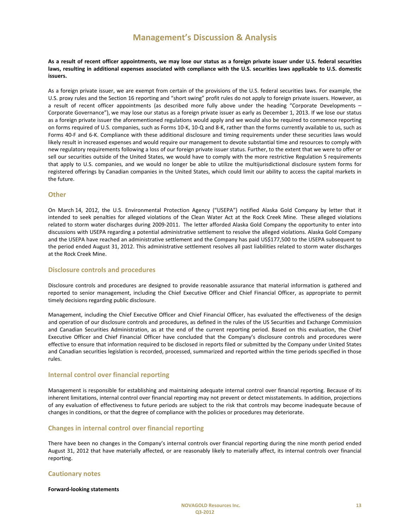**As a result of recent officer appointments, we may lose our status as a foreign private issuer under U.S. federal securities laws, resulting in additional expenses associated with compliance with the U.S. securities laws applicable to U.S. domestic issuers.** 

As a foreign private issuer, we are exempt from certain of the provisions of the U.S. federal securities laws. For example, the U.S. proxy rules and the Section 16 reporting and "short swing" profit rules do not apply to foreign private issuers. However, as a result of recent officer appointments (as described more fully above under the heading "Corporate Developments – Corporate Governance"), we may lose our status as a foreign private issuer as early as December 1, 2013. If we lose our status as a foreign private issuer the aforementioned regulations would apply and we would also be required to commence reporting on forms required of U.S. companies, such as Forms 10-K, 10-Q and 8-K, rather than the forms currently available to us, such as Forms 40-F and 6-K. Compliance with these additional disclosure and timing requirements under these securities laws would likely result in increased expenses and would require our management to devote substantial time and resources to comply with new regulatory requirements following a loss of our foreign private issuer status. Further, to the extent that we were to offer or sell our securities outside of the United States, we would have to comply with the more restrictive Regulation S requirements that apply to U.S. companies, and we would no longer be able to utilize the multijurisdictional disclosure system forms for registered offerings by Canadian companies in the United States, which could limit our ability to access the capital markets in the future.

#### **Other**

On March 14, 2012, the U.S. Environmental Protection Agency ("USEPA") notified Alaska Gold Company by letter that it intended to seek penalties for alleged violations of the Clean Water Act at the Rock Creek Mine. These alleged violations related to storm water discharges during 2009-2011. The letter afforded Alaska Gold Company the opportunity to enter into discussions with USEPA regarding a potential administrative settlement to resolve the alleged violations. Alaska Gold Company and the USEPA have reached an administrative settlement and the Company has paid US\$177,500 to the USEPA subsequent to the period ended August 31, 2012. This administrative settlement resolves all past liabilities related to storm water discharges at the Rock Creek Mine.

#### **Disclosure controls and procedures**

Disclosure controls and procedures are designed to provide reasonable assurance that material information is gathered and reported to senior management, including the Chief Executive Officer and Chief Financial Officer, as appropriate to permit timely decisions regarding public disclosure.

Management, including the Chief Executive Officer and Chief Financial Officer, has evaluated the effectiveness of the design and operation of our disclosure controls and procedures, as defined in the rules of the US Securities and Exchange Commission and Canadian Securities Administration, as at the end of the current reporting period. Based on this evaluation, the Chief Executive Officer and Chief Financial Officer have concluded that the Company's disclosure controls and procedures were effective to ensure that information required to be disclosed in reports filed or submitted by the Company under United States and Canadian securities legislation is recorded, processed, summarized and reported within the time periods specified in those rules.

#### **Internal control over financial reporting**

Management is responsible for establishing and maintaining adequate internal control over financial reporting. Because of its inherent limitations, internal control over financial reporting may not prevent or detect misstatements. In addition, projections of any evaluation of effectiveness to future periods are subject to the risk that controls may become inadequate because of changes in conditions, or that the degree of compliance with the policies or procedures may deteriorate.

#### **Changes in internal control over financial reporting**

There have been no changes in the Company's internal controls over financial reporting during the nine month period ended August 31, 2012 that have materially affected, or are reasonably likely to materially affect, its internal controls over financial reporting.

#### **Cautionary notes**

#### **Forward-looking statements**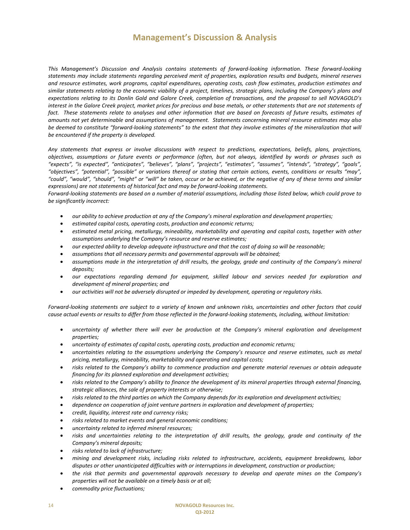*This Management's Discussion and Analysis contains statements of forward-looking information. These forward-looking statements may include statements regarding perceived merit of properties, exploration results and budgets, mineral reserves and resource estimates, work programs, capital expenditures, operating costs, cash flow estimates, production estimates and similar statements relating to the economic viability of a project, timelines, strategic plans, including the Company's plans and expectations relating to its Donlin Gold and Galore Creek, completion of transactions, and the proposal to sell NOVAGOLD's interest in the Galore Creek project, market prices for precious and base metals, or other statements that are not statements of*  fact. These statements relate to analyses and other information that are based on forecasts of future results, estimates of *amounts not yet determinable and assumptions of management. Statements concerning mineral resource estimates may also be deemed to constitute "forward-looking statements" to the extent that they involve estimates of the mineralization that will be encountered if the property is developed.* 

*Any statements that express or involve discussions with respect to predictions, expectations, beliefs, plans, projections, objectives, assumptions or future events or performance (often, but not always, identified by words or phrases such as "expects", "is expected", "anticipates", "believes", "plans", "projects", "estimates", "assumes", "intends", "strategy", "goals", "objectives", "potential", "possible" or variations thereof or stating that certain actions, events, conditions or results "may", "could", "would", "should", "might" or "will" be taken, occur or be achieved, or the negative of any of these terms and similar expressions) are not statements of historical fact and may be forward-looking statements.* 

*Forward-looking statements are based on a number of material assumptions, including those listed below, which could prove to be significantly incorrect:* 

- *our ability to achieve production at any of the Company's mineral exploration and development properties;*
- *estimated capital costs, operating costs, production and economic returns;*
- *estimated metal pricing, metallurgy, mineability, marketability and operating and capital costs, together with other assumptions underlying the Company's resource and reserve estimates;*
- *our expected ability to develop adequate infrastructure and that the cost of doing so will be reasonable;*
- *assumptions that all necessary permits and governmental approvals will be obtained;*
- *assumptions made in the interpretation of drill results, the geology, grade and continuity of the Company's mineral deposits;*
- *our expectations regarding demand for equipment, skilled labour and services needed for exploration and development of mineral properties; and*
- *our activities will not be adversely disrupted or impeded by development, operating or regulatory risks.*

*Forward-looking statements are subject to a variety of known and unknown risks, uncertainties and other factors that could cause actual events or results to differ from those reflected in the forward-looking statements, including, without limitation:*

- *uncertainty of whether there will ever be production at the Company's mineral exploration and development properties;*
- *uncertainty of estimates of capital costs, operating costs, production and economic returns;*
- *uncertainties relating to the assumptions underlying the Company's resource and reserve estimates, such as metal pricing, metallurgy, mineability, marketability and operating and capital costs;*
- *risks related to the Company's ability to commence production and generate material revenues or obtain adequate financing for its planned exploration and development activities;*
- *risks related to the Company's ability to finance the development of its mineral properties through external financing, strategic alliances, the sale of property interests or otherwise;*
- *risks related to the third parties on which the Company depends for its exploration and development activities;*
- *dependence on cooperation of joint venture partners in exploration and development of properties;*
- *credit, liquidity, interest rate and currency risks;*
- *risks related to market events and general economic conditions;*
- *uncertainty related to inferred mineral resources;*
- *risks and uncertainties relating to the interpretation of drill results, the geology, grade and continuity of the Company's mineral deposits;*
- *risks related to lack of infrastructure;*
- *mining and development risks, including risks related to infrastructure, accidents, equipment breakdowns, labor disputes or other unanticipated difficulties with or interruptions in development, construction or production;*
- *the risk that permits and governmental approvals necessary to develop and operate mines on the Company's properties will not be available on a timely basis or at all;*
- *commodity price fluctuations;*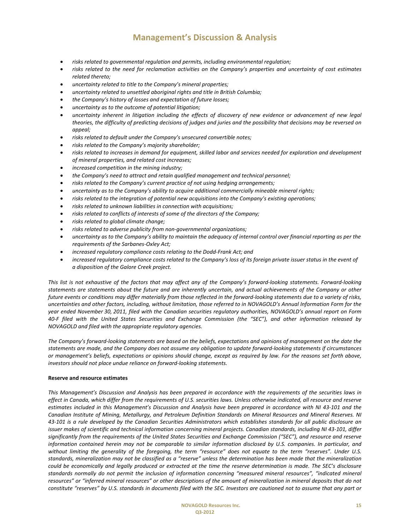- *risks related to governmental regulation and permits, including environmental regulation;*
- *risks related to the need for reclamation activities on the Company's properties and uncertainty of cost estimates related thereto;*
- *uncertainty related to title to the Company's mineral properties;*
- *uncertainty related to unsettled aboriginal rights and title in British Columbia;*
- *the Company's history of losses and expectation of future losses;*
- *uncertainty as to the outcome of potential litigation;*
- *uncertainty inherent in litigation including the effects of discovery of new evidence or advancement of new legal theories, the difficulty of predicting decisions of judges and juries and the possibility that decisions may be reversed on appeal;*
- *risks related to default under the Company's unsecured convertible notes;*
- *risks related to the Company's majority shareholder;*
- *risks related to increases in demand for equipment, skilled labor and services needed for exploration and development of mineral properties, and related cost increases;*
- *increased competition in the mining industry;*
- *the Company's need to attract and retain qualified management and technical personnel;*
- *risks related to the Company's current practice of not using hedging arrangements;*
- *uncertainty as to the Company's ability to acquire additional commercially mineable mineral rights;*
- *risks related to the integration of potential new acquisitions into the Company's existing operations;*
- *risks related to unknown liabilities in connection with acquisitions;*
- *risks related to conflicts of interests of some of the directors of the Company;*
- *risks related to global climate change;*
- *risks related to adverse publicity from non-governmental organizations;*
- *uncertainty as to the Company's ability to maintain the adequacy of internal control over financial reporting as per the requirements of the Sarbanes-Oxley Act;*
- *increased regulatory compliance costs relating to the Dodd-Frank Act; and*
- *increased regulatory compliance costs related to the Company's loss of its foreign private issuer status in the event of a disposition of the Galore Creek project.*

*This list is not exhaustive of the factors that may affect any of the Company's forward-looking statements. Forward-looking statements are statements about the future and are inherently uncertain, and actual achievements of the Company or other future events or conditions may differ materially from those reflected in the forward-looking statements due to a variety of risks, uncertainties and other factors, including, without limitation, those referred to in NOVAGOLD's Annual Information Form for the year ended November 30, 2011, filed with the Canadian securities regulatory authorities, NOVAGOLD's annual report on Form 40-F filed with the United States Securities and Exchange Commission (the "SEC"), and other information released by NOVAGOLD and filed with the appropriate regulatory agencies.* 

*The Company's forward-looking statements are based on the beliefs, expectations and opinions of management on the date the statements are made, and the Company does not assume any obligation to update forward-looking statements if circumstances or management's beliefs, expectations or opinions should change, except as required by law. For the reasons set forth above, investors should not place undue reliance on forward-looking statements.* 

#### **Reserve and resource estimates**

*This Management's Discussion and Analysis has been prepared in accordance with the requirements of the securities laws in effect in Canada, which differ from the requirements of U.S. securities laws. Unless otherwise indicated, all resource and reserve estimates included in this Management's Discussion and Analysis have been prepared in accordance with NI 43-101 and the Canadian Institute of Mining, Metallurgy, and Petroleum Definition Standards on Mineral Resources and Mineral Reserves. NI 43-101 is a rule developed by the Canadian Securities Administrators which establishes standards for all public disclosure an issuer makes of scientific and technical information concerning mineral projects. Canadian standards, including NI 43-101, differ significantly from the requirements of the United States Securities and Exchange Commission ("SEC"), and resource and reserve information contained herein may not be comparable to similar information disclosed by U.S. companies. In particular, and without limiting the generality of the foregoing, the term "resource" does not equate to the term "reserves". Under U.S. standards, mineralization may not be classified as a "reserve" unless the determination has been made that the mineralization could be economically and legally produced or extracted at the time the reserve determination is made. The SEC's disclosure standards normally do not permit the inclusion of information concerning "measured mineral resources", "indicated mineral resources" or "inferred mineral resources" or other descriptions of the amount of mineralization in mineral deposits that do not constitute "reserves" by U.S. standards in documents filed with the SEC. Investors are cautioned not to assume that any part or*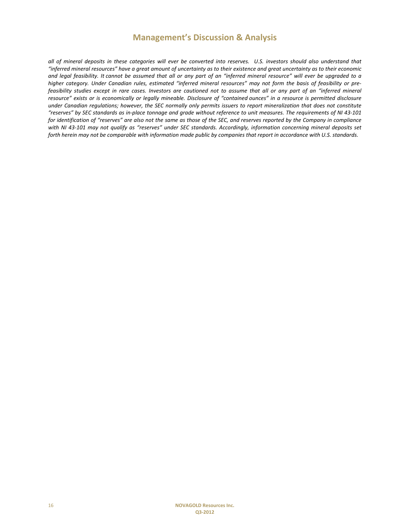*all of mineral deposits in these categories will ever be converted into reserves. U.S. investors should also understand that "inferred mineral resources" have a great amount of uncertainty as to their existence and great uncertainty as to their economic and legal feasibility. It cannot be assumed that all or any part of an "inferred mineral resource" will ever be upgraded to a higher category. Under Canadian rules, estimated "inferred mineral resources" may not form the basis of feasibility or prefeasibility studies except in rare cases. Investors are cautioned not to assume that all or any part of an "inferred mineral resource" exists or is economically or legally mineable. Disclosure of "contained ounces" in a resource is permitted disclosure under Canadian regulations; however, the SEC normally only permits issuers to report mineralization that does not constitute "reserves" by SEC standards as in-place tonnage and grade without reference to unit measures. The requirements of NI 43-101 for identification of "reserves" are also not the same as those of the SEC, and reserves reported by the Company in compliance with NI 43-101 may not qualify as "reserves" under SEC standards. Accordingly, information concerning mineral deposits set forth herein may not be comparable with information made public by companies that report in accordance with U.S. standards.*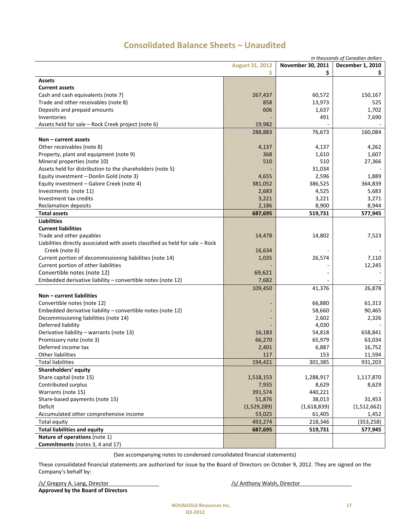|                                                                                  |                        |                   | in thousands of Canadian dollars |
|----------------------------------------------------------------------------------|------------------------|-------------------|----------------------------------|
|                                                                                  | <b>August 31, 2012</b> | November 30, 2011 | <b>December 1, 2010</b>          |
|                                                                                  | \$                     | \$                | Ş.                               |
| <b>Assets</b>                                                                    |                        |                   |                                  |
| <b>Current assets</b>                                                            |                        |                   |                                  |
| Cash and cash equivalents (note 7)                                               | 267,437                | 60,572            | 150,167                          |
| Trade and other receivables (note 8)                                             | 858                    | 13,973            | 525                              |
| Deposits and prepaid amounts                                                     | 606                    | 1,637             | 1,702                            |
| Inventories                                                                      |                        | 491               | 7,690                            |
| Assets held for sale - Rock Creek project (note 6)                               | 19,982                 |                   |                                  |
|                                                                                  | 288,883                | 76,673            | 160,084                          |
| Non – current assets                                                             |                        |                   |                                  |
| Other receivables (note 8)                                                       | 4,137                  | 4,137             | 4,262                            |
| Property, plant and equipment (note 9)                                           | 368                    | 1,610             | 1,607                            |
| Mineral properties (note 10)                                                     | 510                    | 510               | 27,366                           |
| Assets held for distribution to the shareholders (note 5)                        |                        | 31,034            |                                  |
| Equity investment - Donlin Gold (note 3)                                         | 4,655                  | 2,596             | 1,889                            |
| Equity investment - Galore Creek (note 4)                                        | 381,052                | 386,525           | 364,839                          |
| Investments (note 11)                                                            | 2,683                  | 4,525             | 5,683                            |
| Investment tax credits                                                           | 3,221                  | 3,221             | 3,271                            |
| <b>Reclamation deposits</b>                                                      | 2,186                  | 8,900             | 8,944                            |
| <b>Total assets</b>                                                              | 687,695                | 519,731           | 577,945                          |
| <b>Liabilities</b>                                                               |                        |                   |                                  |
| <b>Current liabilities</b>                                                       |                        |                   |                                  |
| Trade and other payables                                                         | 14,478                 | 14,802            | 7,523                            |
| Liabilities directly associated with assets classified as held for sale $-$ Rock |                        |                   |                                  |
| Creek (note 6)                                                                   | 16,634                 |                   |                                  |
| Current portion of decommissioning liabilities (note 14)                         | 1,035                  | 26,574            | 7,110                            |
| Current portion of other liabilities                                             |                        |                   | 12,245                           |
| Convertible notes (note 12)                                                      | 69,621                 |                   |                                  |
| Embedded derivative liability - convertible notes (note 12)                      | 7,682                  |                   |                                  |
|                                                                                  | 109,450                | 41,376            | 26,878                           |
| Non - current liabilities                                                        |                        |                   |                                  |
| Convertible notes (note 12)                                                      |                        | 66,880            | 61,313                           |
| Embedded derivative liability $-$ convertible notes (note 12)                    |                        | 58,660            | 90,465                           |
| Decommissioning liabilities (note 14)                                            |                        | 2,602             | 2,326                            |
| Deferred liability                                                               |                        | 4,030             |                                  |
| Derivative liability - warrants (note 13)                                        | 16,183                 | 54,818            | 658,841                          |
| Promissory note (note 3)                                                         | 66,270                 | 65,979            | 63,034                           |
| Deferred income tax                                                              | 2,401                  | 6,887             | 16,752                           |
| Other liabilities                                                                | 117                    | 153               | 11,594                           |
| <b>Total liabilities</b>                                                         | 194,421                | 301,385           | 931,203                          |
| Shareholders' equity                                                             |                        |                   |                                  |
| Share capital (note 15)                                                          | 1,518,153              | 1,288,917         | 1,117,870                        |
| Contributed surplus                                                              | 7,935                  | 8,629             | 8,629                            |
| Warrants (note 15)                                                               | 391,574                | 440,221           |                                  |
| Share-based payments (note 15)                                                   | 51,876                 | 38,013            | 31,453                           |
| Deficit                                                                          | (1,529,289)            | (1,618,839)       | (1,512,662)                      |
| Accumulated other comprehensive income                                           | 53,025                 | 61,405            |                                  |
| <b>Total equity</b>                                                              | 493,274                | 218,346           | 1,452<br>(353, 258)              |
| <b>Total liabilities and equity</b>                                              |                        |                   |                                  |
| Nature of operations (note 1)                                                    | 687,695                | 519,731           | 577,945                          |
| Commitments (notes 3, 4 and 17)                                                  |                        |                   |                                  |
|                                                                                  |                        |                   |                                  |

# **Consolidated Balance Sheets – Unaudited**

(See accompanying notes to condensed consolidated financial statements)

These consolidated financial statements are authorized for issue by the Board of Directors on October 9, 2012. They are signed on the Company's behalf by:

/s/ Gregory A. Lang, Director /s/ Anthony Walsh, Director **Approved by the Board of Directors**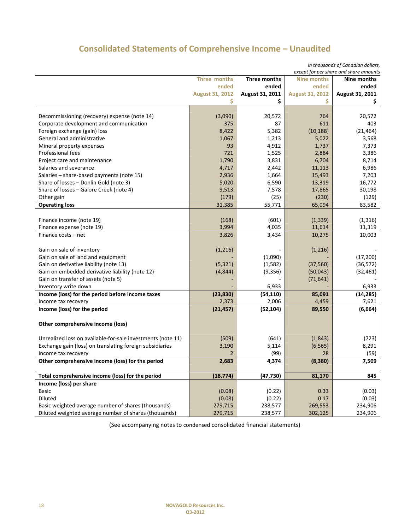# **Consolidated Statements of Comprehensive Income – Unaudited**

*in thousands of Canadian dollars,* 

| except for per share and share amounts                      |                        |                 |                        |                    |
|-------------------------------------------------------------|------------------------|-----------------|------------------------|--------------------|
|                                                             | Three months           | Three months    | <b>Nine months</b>     | <b>Nine months</b> |
|                                                             | ended                  | ended           | ended                  | ended              |
|                                                             | <b>August 31, 2012</b> | August 31, 2011 | <b>August 31, 2012</b> | August 31, 2011    |
|                                                             | Ś                      | \$              | Ś                      | \$                 |
|                                                             |                        |                 |                        |                    |
| Decommissioning (recovery) expense (note 14)                | (3,090)                | 20,572          | 764                    | 20,572             |
| Corporate development and communication                     | 375                    | 87              | 611                    | 403                |
| Foreign exchange (gain) loss                                | 8,422                  | 5,382           | (10, 188)              | (21, 464)          |
| General and administrative                                  | 1,067                  | 1,213           | 5,022                  | 3,568              |
| Mineral property expenses                                   | 93                     | 4,912           | 1,737                  | 7,373              |
| <b>Professional fees</b>                                    | 721                    | 1,525           | 2,884                  | 3,386              |
| Project care and maintenance                                | 1,790                  | 3,831           | 6,704                  | 8,714              |
| Salaries and severance                                      | 4,717                  | 2,442           | 11,113                 | 6,986              |
| Salaries - share-based payments (note 15)                   | 2,936                  | 1,664           | 15,493                 | 7,203              |
| Share of losses - Donlin Gold (note 3)                      | 5,020                  | 6,590           | 13,319                 | 16,772             |
| Share of losses - Galore Creek (note 4)                     | 9,513                  | 7,578           | 17,865                 | 30,198             |
| Other gain                                                  | (179)                  | (25)            | (230)                  | (129)              |
| <b>Operating loss</b>                                       | 31,385                 | 55,771          | 65,094                 | 83,582             |
|                                                             |                        |                 |                        |                    |
| Finance income (note 19)                                    | (168)                  | (601)           | (1, 339)               | (1, 316)           |
| Finance expense (note 19)                                   | 3,994                  | 4,035           | 11,614                 | 11,319             |
| Finance costs - net                                         | 3,826                  | 3,434           | 10,275                 | 10,003             |
|                                                             |                        |                 |                        |                    |
| Gain on sale of inventory                                   | (1,216)                |                 | (1,216)                |                    |
| Gain on sale of land and equipment                          |                        | (1,090)         |                        | (17,200)           |
| Gain on derivative liability (note 13)                      | (5, 321)               | (1, 582)        | (37, 560)              | (36, 572)          |
| Gain on embedded derivative liability (note 12)             | (4, 844)               | (9, 356)        | (50,043)               | (32, 461)          |
| Gain on transfer of assets (note 5)                         |                        |                 | (71, 641)              |                    |
| Inventory write down                                        |                        | 6,933           |                        | 6,933              |
| Income (loss) for the period before income taxes            | (23, 830)              | (54, 110)       | 85,091                 | (14, 285)          |
| Income tax recovery                                         | 2,373                  | 2,006           | 4,459                  | 7,621              |
| Income (loss) for the period                                | (21, 457)              | (52, 104)       | 89,550                 | (6, 664)           |
|                                                             |                        |                 |                        |                    |
| Other comprehensive income (loss)                           |                        |                 |                        |                    |
|                                                             |                        |                 |                        |                    |
| Unrealized loss on available-for-sale investments (note 11) | (509)                  | (641)           | (1,843)                | (723)              |
| Exchange gain (loss) on translating foreign subsidiaries    | 3,190                  | 5,114           | (6, 565)               | 8,291              |
| Income tax recovery                                         | 2                      | (99)            | 28                     | (59)               |
| Other comprehensive income (loss) for the period            | 2,683                  | 4,374           | (8, 380)               | 7,509              |
|                                                             |                        |                 |                        |                    |
| Total comprehensive income (loss) for the period            | (18, 774)              | (47, 730)       | 81,170                 | 845                |
| Income (loss) per share                                     |                        |                 |                        |                    |
| <b>Basic</b>                                                | (0.08)                 | (0.22)          | 0.33                   | (0.03)             |
| <b>Diluted</b>                                              | (0.08)                 | (0.22)          | 0.17                   | (0.03)             |
| Basic weighted average number of shares (thousands)         | 279,715                | 238,577         | 269,553                | 234,906            |
| Diluted weighted average number of shares (thousands)       | 279,715                | 238,577         | 302,125                | 234,906            |

(See accompanying notes to condensed consolidated financial statements)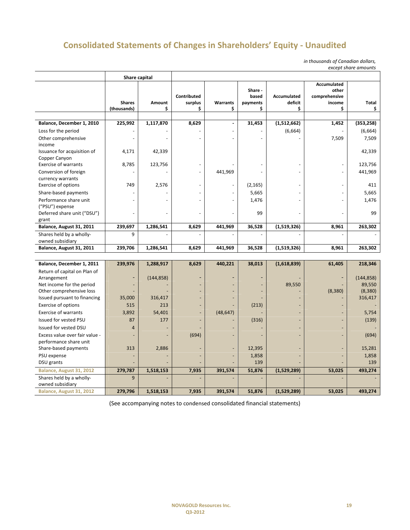# **Consolidated Statements of Changes in Shareholders' Equity - Unaudited**

*in thousands of Canadian dollars, except share amounts*

| Accumulated<br>Share -<br>other<br>Contributed<br>based<br>Accumulated<br>comprehensive<br><b>Shares</b><br>Amount<br>surplus<br><b>Warrants</b><br>deficit<br>income<br>Total<br>payments<br>\$<br>\$<br>(thousands)<br>\$<br>\$<br>\$<br>\$<br>\$<br>8,629<br>(1,512,662)<br>Balance, December 1, 2010<br>225,992<br>1,117,870<br>31,453<br>1,452<br>(353, 258)<br>$\overline{a}$<br>(6,664)<br>(6,664)<br>Loss for the period<br>7,509<br>Other comprehensive<br>7,509<br>income<br>42,339<br>Issuance for acquisition of<br>4,171<br>42,339<br>Copper Canyon<br><b>Exercise of warrants</b><br>8,785<br>123,756<br>123,756<br>Conversion of foreign<br>441,969<br>441,969<br>currency warrants<br>Exercise of options<br>749<br>2,576<br>(2, 165)<br>411<br>Share-based payments<br>5,665<br>5,665<br>Performance share unit<br>1,476<br>1,476<br>("PSU") expense |
|-----------------------------------------------------------------------------------------------------------------------------------------------------------------------------------------------------------------------------------------------------------------------------------------------------------------------------------------------------------------------------------------------------------------------------------------------------------------------------------------------------------------------------------------------------------------------------------------------------------------------------------------------------------------------------------------------------------------------------------------------------------------------------------------------------------------------------------------------------------------------|
|                                                                                                                                                                                                                                                                                                                                                                                                                                                                                                                                                                                                                                                                                                                                                                                                                                                                       |
|                                                                                                                                                                                                                                                                                                                                                                                                                                                                                                                                                                                                                                                                                                                                                                                                                                                                       |
|                                                                                                                                                                                                                                                                                                                                                                                                                                                                                                                                                                                                                                                                                                                                                                                                                                                                       |
|                                                                                                                                                                                                                                                                                                                                                                                                                                                                                                                                                                                                                                                                                                                                                                                                                                                                       |
|                                                                                                                                                                                                                                                                                                                                                                                                                                                                                                                                                                                                                                                                                                                                                                                                                                                                       |
|                                                                                                                                                                                                                                                                                                                                                                                                                                                                                                                                                                                                                                                                                                                                                                                                                                                                       |
|                                                                                                                                                                                                                                                                                                                                                                                                                                                                                                                                                                                                                                                                                                                                                                                                                                                                       |
|                                                                                                                                                                                                                                                                                                                                                                                                                                                                                                                                                                                                                                                                                                                                                                                                                                                                       |
|                                                                                                                                                                                                                                                                                                                                                                                                                                                                                                                                                                                                                                                                                                                                                                                                                                                                       |
|                                                                                                                                                                                                                                                                                                                                                                                                                                                                                                                                                                                                                                                                                                                                                                                                                                                                       |
|                                                                                                                                                                                                                                                                                                                                                                                                                                                                                                                                                                                                                                                                                                                                                                                                                                                                       |
|                                                                                                                                                                                                                                                                                                                                                                                                                                                                                                                                                                                                                                                                                                                                                                                                                                                                       |
|                                                                                                                                                                                                                                                                                                                                                                                                                                                                                                                                                                                                                                                                                                                                                                                                                                                                       |
| Deferred share unit ("DSU")<br>99<br>99<br>ä,                                                                                                                                                                                                                                                                                                                                                                                                                                                                                                                                                                                                                                                                                                                                                                                                                         |
| grant                                                                                                                                                                                                                                                                                                                                                                                                                                                                                                                                                                                                                                                                                                                                                                                                                                                                 |
| Balance, August 31, 2011<br>36,528<br>263,302<br>239,697<br>1,286,541<br>8,629<br>441,969<br>(1,519,326)<br>8,961                                                                                                                                                                                                                                                                                                                                                                                                                                                                                                                                                                                                                                                                                                                                                     |
| Shares held by a wholly-<br>9                                                                                                                                                                                                                                                                                                                                                                                                                                                                                                                                                                                                                                                                                                                                                                                                                                         |
| owned subsidiary                                                                                                                                                                                                                                                                                                                                                                                                                                                                                                                                                                                                                                                                                                                                                                                                                                                      |
| Balance, August 31, 2011<br>239,706<br>1,286,541<br>8,629<br>441,969<br>36,528<br>(1,519,326)<br>8,961<br>263,302                                                                                                                                                                                                                                                                                                                                                                                                                                                                                                                                                                                                                                                                                                                                                     |
|                                                                                                                                                                                                                                                                                                                                                                                                                                                                                                                                                                                                                                                                                                                                                                                                                                                                       |
| Balance, December 1, 2011<br>239,976<br>8,629<br>440,221<br>38,013<br>(1,618,839)<br>61,405<br>218,346<br>1,288,917                                                                                                                                                                                                                                                                                                                                                                                                                                                                                                                                                                                                                                                                                                                                                   |
| Return of capital on Plan of                                                                                                                                                                                                                                                                                                                                                                                                                                                                                                                                                                                                                                                                                                                                                                                                                                          |
| Arrangement<br>(144, 858)<br>(144, 858)<br>$\overline{a}$                                                                                                                                                                                                                                                                                                                                                                                                                                                                                                                                                                                                                                                                                                                                                                                                             |
| 89,550<br>Net income for the period<br>89,550                                                                                                                                                                                                                                                                                                                                                                                                                                                                                                                                                                                                                                                                                                                                                                                                                         |
| Other comprehensive loss<br>(8, 380)<br>(8,380)<br>316,417<br>Issued pursuant to financing<br>35,000<br>316,417                                                                                                                                                                                                                                                                                                                                                                                                                                                                                                                                                                                                                                                                                                                                                       |
| Exercise of options<br>515<br>213<br>(213)                                                                                                                                                                                                                                                                                                                                                                                                                                                                                                                                                                                                                                                                                                                                                                                                                            |
| <b>Exercise of warrants</b><br>3,892<br>54,401<br>(48, 647)                                                                                                                                                                                                                                                                                                                                                                                                                                                                                                                                                                                                                                                                                                                                                                                                           |
| 5,754<br>177                                                                                                                                                                                                                                                                                                                                                                                                                                                                                                                                                                                                                                                                                                                                                                                                                                                          |
| <b>Issued for vested PSU</b><br>87<br>(316)<br>(139)                                                                                                                                                                                                                                                                                                                                                                                                                                                                                                                                                                                                                                                                                                                                                                                                                  |
| $\overline{4}$<br>Issued for vested DSU                                                                                                                                                                                                                                                                                                                                                                                                                                                                                                                                                                                                                                                                                                                                                                                                                               |
| Excess value over fair value -<br>(694)<br>(694)                                                                                                                                                                                                                                                                                                                                                                                                                                                                                                                                                                                                                                                                                                                                                                                                                      |
| performance share unit<br>15,281<br>Share-based payments<br>313<br>2,886<br>12,395<br>÷,                                                                                                                                                                                                                                                                                                                                                                                                                                                                                                                                                                                                                                                                                                                                                                              |
| PSU expense<br>1,858<br>1,858                                                                                                                                                                                                                                                                                                                                                                                                                                                                                                                                                                                                                                                                                                                                                                                                                                         |
| 139<br>139<br>DSU grants                                                                                                                                                                                                                                                                                                                                                                                                                                                                                                                                                                                                                                                                                                                                                                                                                                              |
| 279,787<br>7,935<br>51,876<br>(1,529,289)<br>493,274<br>Balance, August 31, 2012<br>1,518,153<br>391,574<br>53,025                                                                                                                                                                                                                                                                                                                                                                                                                                                                                                                                                                                                                                                                                                                                                    |

(See accompanying notes to condensed consolidated financial statements)

**Balance, August 31, 2012 279,796 1,518,153 7,935 391,574 51,876 (1,529,289) 53,025 493,274**

9 - - - - - - -

Shares held by a whollyowned subsidiary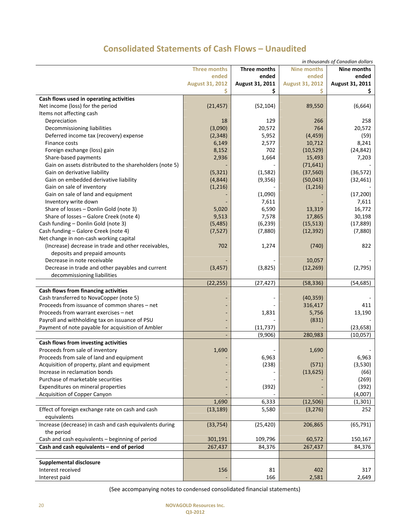# **Consolidated Statements of Cash Flows – Unaudited**

|                                                         |                        |                 |                        | in thousands of Canadian dollars |
|---------------------------------------------------------|------------------------|-----------------|------------------------|----------------------------------|
|                                                         | <b>Three months</b>    | Three months    | Nine months            | Nine months                      |
|                                                         | ended                  | ended           | ended                  | ended                            |
|                                                         | <b>August 31, 2012</b> | August 31, 2011 | <b>August 31, 2012</b> | August 31, 2011                  |
|                                                         | \$                     | \$              | Ś                      | Ş.                               |
| Cash flows used in operating activities                 |                        |                 |                        |                                  |
| Net income (loss) for the period                        | (21, 457)              | (52, 104)       | 89,550                 | (6,664)                          |
| Items not affecting cash                                |                        |                 |                        |                                  |
| Depreciation                                            | 18                     | 129             | 266                    | 258                              |
| Decommissioning liabilities                             | (3,090)                | 20,572          | 764                    | 20,572                           |
| Deferred income tax (recovery) expense                  | (2, 348)               | 5,952           | (4, 459)               | (59)                             |
| Finance costs                                           | 6,149                  | 2,577           | 10,712                 | 8,241                            |
| Foreign exchange (loss) gain                            | 8,152                  | 702             | (10, 529)              | (24, 842)                        |
| Share-based payments                                    | 2,936                  | 1,664           | 15,493                 | 7,203                            |
| Gain on assets distributed to the shareholders (note 5) |                        |                 | (71, 641)              |                                  |
| Gain on derivative liability                            | (5, 321)               | (1, 582)        | (37, 560)              | (36, 572)                        |
| Gain on embedded derivative liability                   | (4, 844)               | (9, 356)        | (50,043)               | (32, 461)                        |
| Gain on sale of inventory                               | (1, 216)               |                 | (1, 216)               |                                  |
| Gain on sale of land and equipment                      |                        | (1,090)         |                        | (17, 200)                        |
| Inventory write down                                    |                        | 7,611           |                        | 7,611                            |
| Share of losses - Donlin Gold (note 3)                  | 5,020                  | 6,590           | 13,319                 | 16,772                           |
| Share of losses - Galore Creek (note 4)                 | 9,513                  | 7,578           | 17,865                 | 30,198                           |
| Cash funding - Donlin Gold (note 3)                     | (5, 485)               | (6, 239)        | (15, 513)              | (17, 889)                        |
| Cash funding - Galore Creek (note 4)                    | (7, 527)               | (7,880)         | (12, 392)              | (7,880)                          |
| Net change in non-cash working capital                  |                        |                 |                        |                                  |
| (Increase) decrease in trade and other receivables,     | 702                    | 1,274           | (740)                  | 822                              |
| deposits and prepaid amounts                            |                        |                 |                        |                                  |
| Decrease in note receivable                             |                        |                 | 10,057                 |                                  |
| Decrease in trade and other payables and current        | (3, 457)               | (3,825)         | (12, 269)              | (2,795)                          |
| decommissioning liabilities                             |                        |                 |                        |                                  |
|                                                         | (22, 255)              | (27, 427)       | (58, 336)              | (54, 685)                        |
| Cash flows from financing activities                    |                        |                 |                        |                                  |
| Cash transferred to NovaCopper (note 5)                 |                        |                 | (40, 359)              |                                  |
| Proceeds from issuance of common shares - net           |                        |                 | 316,417                | 411                              |
| Proceeds from warrant exercises - net                   | ٠                      | 1,831           | 5,756                  | 13,190                           |
| Payroll and withholding tax on issuance of PSU          | ٠                      |                 | (831)                  |                                  |
| Payment of note payable for acquisition of Ambler       |                        | (11, 737)       |                        | (23, 658)                        |
|                                                         |                        | (9,906)         | 280,983                | (10,057)                         |
| Cash flows from investing activities                    |                        |                 |                        |                                  |
| Proceeds from sale of inventory                         | 1,690                  |                 | 1,690                  |                                  |
| Proceeds from sale of land and equipment                |                        | 6,963           |                        | 6,963                            |
| Acquisition of property, plant and equipment            |                        | (238)           | (571)                  | (3,530)                          |
| Increase in reclamation bonds                           |                        |                 | (13, 625)              | (66)                             |
| Purchase of marketable securities                       |                        |                 |                        | (269)                            |
| Expenditures on mineral properties                      | ٠                      | (392)           |                        | (392)                            |
| Acquisition of Copper Canyon                            |                        |                 |                        | (4,007)                          |
|                                                         | 1,690                  | 6,333           | (12, 506)              | (1, 301)                         |
| Effect of foreign exchange rate on cash and cash        | (13, 189)              | 5,580           | (3, 276)               | 252                              |
| equivalents                                             |                        |                 |                        |                                  |
| Increase (decrease) in cash and cash equivalents during | (33, 754)              | (25, 420)       | 206,865                | (65, 791)                        |
| the period                                              |                        |                 |                        |                                  |
| Cash and cash equivalents - beginning of period         | 301,191                | 109,796         | 60,572                 | 150,167                          |
| Cash and cash equivalents - end of period               | 267,437                | 84,376          | 267,437                | 84,376                           |
|                                                         |                        |                 |                        |                                  |
| <b>Supplemental disclosure</b>                          |                        |                 |                        |                                  |
| Interest received                                       | 156                    | 81              | 402                    | 317                              |
| Interest paid                                           |                        | 166             | 2,581                  | 2,649                            |
|                                                         |                        |                 |                        |                                  |

(See accompanying notes to condensed consolidated financial statements)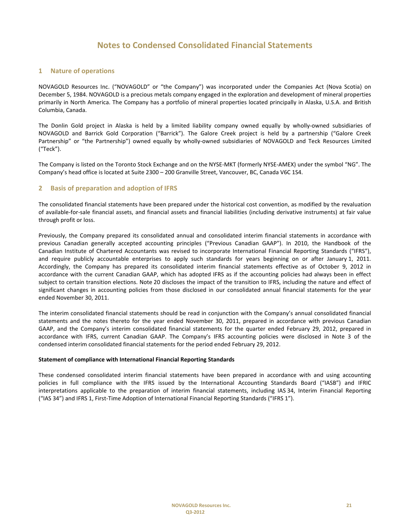#### **1 Nature of operations**

NOVAGOLD Resources Inc. ("NOVAGOLD" or "the Company") was incorporated under the Companies Act (Nova Scotia) on December 5, 1984. NOVAGOLD is a precious metals company engaged in the exploration and development of mineral properties primarily in North America. The Company has a portfolio of mineral properties located principally in Alaska, U.S.A. and British Columbia, Canada.

The Donlin Gold project in Alaska is held by a limited liability company owned equally by wholly-owned subsidiaries of NOVAGOLD and Barrick Gold Corporation ("Barrick"). The Galore Creek project is held by a partnership ("Galore Creek Partnership" or "the Partnership") owned equally by wholly-owned subsidiaries of NOVAGOLD and Teck Resources Limited ("Teck").

The Company is listed on the Toronto Stock Exchange and on the NYSE-MKT (formerly NYSE-AMEX) under the symbol "NG". The Company's head office is located at Suite 2300 – 200 Granville Street, Vancouver, BC, Canada V6C 1S4.

#### **2 Basis of preparation and adoption of IFRS**

The consolidated financial statements have been prepared under the historical cost convention, as modified by the revaluation of available-for-sale financial assets, and financial assets and financial liabilities (including derivative instruments) at fair value through profit or loss.

Previously, the Company prepared its consolidated annual and consolidated interim financial statements in accordance with previous Canadian generally accepted accounting principles ("Previous Canadian GAAP"). In 2010, the Handbook of the Canadian Institute of Chartered Accountants was revised to incorporate International Financial Reporting Standards ("IFRS"), and require publicly accountable enterprises to apply such standards for years beginning on or after January 1, 2011. Accordingly, the Company has prepared its consolidated interim financial statements effective as of October 9, 2012 in accordance with the current Canadian GAAP, which has adopted IFRS as if the accounting policies had always been in effect subject to certain transition elections. Note 20 discloses the impact of the transition to IFRS, including the nature and effect of significant changes in accounting policies from those disclosed in our consolidated annual financial statements for the year ended November 30, 2011.

The interim consolidated financial statements should be read in conjunction with the Company's annual consolidated financial statements and the notes thereto for the year ended November 30, 2011, prepared in accordance with previous Canadian GAAP, and the Company's interim consolidated financial statements for the quarter ended February 29, 2012, prepared in accordance with IFRS, current Canadian GAAP. The Company's IFRS accounting policies were disclosed in Note 3 of the condensed interim consolidated financial statements for the period ended February 29, 2012.

#### **Statement of compliance with International Financial Reporting Standards**

These condensed consolidated interim financial statements have been prepared in accordance with and using accounting policies in full compliance with the IFRS issued by the International Accounting Standards Board ("IASB") and IFRIC interpretations applicable to the preparation of interim financial statements, including IAS 34, Interim Financial Reporting ("IAS 34") and IFRS 1, First-Time Adoption of International Financial Reporting Standards ("IFRS 1").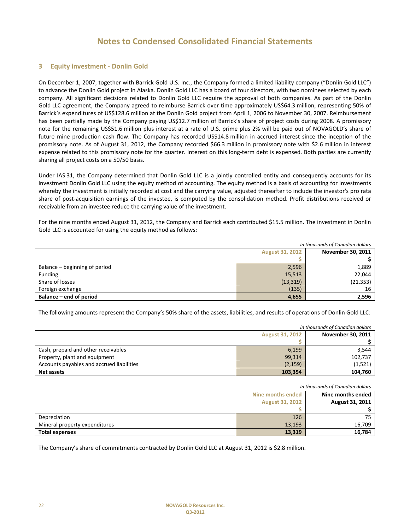#### **3 Equity investment - Donlin Gold**

On December 1, 2007, together with Barrick Gold U.S. Inc., the Company formed a limited liability company ("Donlin Gold LLC") to advance the Donlin Gold project in Alaska. Donlin Gold LLC has a board of four directors, with two nominees selected by each company. All significant decisions related to Donlin Gold LLC require the approval of both companies. As part of the Donlin Gold LLC agreement, the Company agreed to reimburse Barrick over time approximately US\$64.3 million, representing 50% of Barrick's expenditures of US\$128.6 million at the Donlin Gold project from April 1, 2006 to November 30, 2007. Reimbursement has been partially made by the Company paying US\$12.7 million of Barrick's share of project costs during 2008. A promissory note for the remaining US\$51.6 million plus interest at a rate of U.S. prime plus 2% will be paid out of NOVAGOLD's share of future mine production cash flow. The Company has recorded US\$14.8 million in accrued interest since the inception of the promissory note. As of August 31, 2012, the Company recorded \$66.3 million in promissory note with \$2.6 million in interest expense related to this promissory note for the quarter. Interest on this long-term debt is expensed. Both parties are currently sharing all project costs on a 50/50 basis.

Under IAS 31, the Company determined that Donlin Gold LLC is a jointly controlled entity and consequently accounts for its investment Donlin Gold LLC using the equity method of accounting. The equity method is a basis of accounting for investments whereby the investment is initially recorded at cost and the carrying value, adjusted thereafter to include the investor's pro rata share of post-acquisition earnings of the investee, is computed by the consolidation method. Profit distributions received or receivable from an investee reduce the carrying value of the investment.

For the nine months ended August 31, 2012, the Company and Barrick each contributed \$15.5 million. The investment in Donlin Gold LLC is accounted for using the equity method as follows:

| in thousands of Canadian dollars |                                                    |           |  |
|----------------------------------|----------------------------------------------------|-----------|--|
|                                  | <b>November 30, 2011</b><br><b>August 31, 2012</b> |           |  |
|                                  |                                                    |           |  |
| Balance – beginning of period    | 2,596                                              | 1,889     |  |
| Funding                          | 15,513                                             | 22,044    |  |
| Share of losses                  | (13, 319)                                          | (21, 353) |  |
| Foreign exchange                 | (135)                                              | 16        |  |
| Balance – end of period          | 4,655                                              | 2,596     |  |

The following amounts represent the Company's 50% share of the assets, liabilities, and results of operations of Donlin Gold LLC:

| in thousands of Canadian dollars          |          |                   |
|-------------------------------------------|----------|-------------------|
| <b>August 31, 2012</b>                    |          | November 30, 2011 |
|                                           |          |                   |
| Cash, prepaid and other receivables       | 6,199    | 3.544             |
| Property, plant and equipment             | 99,314   | 102,737           |
| Accounts payables and accrued liabilities | (2, 159) | (1,521)           |
| <b>Net assets</b>                         | 103,354  | 104,760           |

| in thousands of Canadian dollars |        |                   |
|----------------------------------|--------|-------------------|
| Nine months ended                |        | Nine months ended |
| <b>August 31, 2012</b>           |        | August 31, 2011   |
|                                  |        |                   |
| Depreciation                     | 126    | 75                |
| Mineral property expenditures    | 13,193 | 16.709            |
| <b>Total expenses</b>            | 13,319 | 16,784            |

The Company's share of commitments contracted by Donlin Gold LLC at August 31, 2012 is \$2.8 million.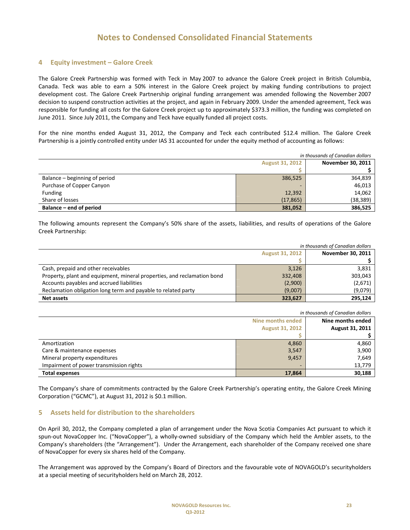#### **4 Equity investment – Galore Creek**

The Galore Creek Partnership was formed with Teck in May 2007 to advance the Galore Creek project in British Columbia, Canada. Teck was able to earn a 50% interest in the Galore Creek project by making funding contributions to project development cost. The Galore Creek Partnership original funding arrangement was amended following the November 2007 decision to suspend construction activities at the project, and again in February 2009. Under the amended agreement, Teck was responsible for funding all costs for the Galore Creek project up to approximately \$373.3 million, the funding was completed on June 2011. Since July 2011, the Company and Teck have equally funded all project costs.

For the nine months ended August 31, 2012, the Company and Teck each contributed \$12.4 million. The Galore Creek Partnership is a jointly controlled entity under IAS 31 accounted for under the equity method of accounting as follows:

| in thousands of Canadian dollars |           |                          |
|----------------------------------|-----------|--------------------------|
| <b>August 31, 2012</b>           |           | <b>November 30, 2011</b> |
|                                  |           |                          |
| Balance – beginning of period    | 386,525   | 364,839                  |
| Purchase of Copper Canyon        | -         | 46,013                   |
| <b>Funding</b>                   | 12,392    | 14,062                   |
| Share of losses                  | (17, 865) | (38, 389)                |
| Balance – end of period          | 381,052   | 386,525                  |

The following amounts represent the Company's 50% share of the assets, liabilities, and results of operations of the Galore Creek Partnership:

| in thousands of Canadian dollars                                         |         |                          |
|--------------------------------------------------------------------------|---------|--------------------------|
| <b>August 31, 2012</b>                                                   |         | <b>November 30, 2011</b> |
|                                                                          |         |                          |
| Cash, prepaid and other receivables                                      | 3,126   | 3,831                    |
| Property, plant and equipment, mineral properties, and reclamation bond  | 332,408 | 303,043                  |
| Accounts payables and accrued liabilities<br>(2,900)                     |         | (2,671)                  |
| Reclamation obligation long term and payable to related party<br>(9,007) |         | (9,079)                  |
| <b>Net assets</b>                                                        | 323,627 | 295.124                  |

| in thousands of Canadian dollars        |       |                   |
|-----------------------------------------|-------|-------------------|
| Nine months ended                       |       | Nine months ended |
| <b>August 31, 2012</b>                  |       | August 31, 2011   |
|                                         |       |                   |
| Amortization                            | 4,860 | 4,860             |
| Care & maintenance expenses             | 3,547 | 3,900             |
| Mineral property expenditures<br>9,457  |       | 7,649             |
| Impairment of power transmission rights |       | 13,779            |
| <b>Total expenses</b><br>17,864         |       | 30,188            |

The Company's share of commitments contracted by the Galore Creek Partnership's operating entity, the Galore Creek Mining Corporation ("GCMC"), at August 31, 2012 is \$0.1 million.

#### **5 Assets held for distribution to the shareholders**

On April 30, 2012, the Company completed a plan of arrangement under the Nova Scotia Companies Act pursuant to which it spun-out NovaCopper Inc. ("NovaCopper"), a wholly-owned subsidiary of the Company which held the Ambler assets, to the Company's shareholders (the "Arrangement"). Under the Arrangement, each shareholder of the Company received one share of NovaCopper for every six shares held of the Company.

The Arrangement was approved by the Company's Board of Directors and the favourable vote of NOVAGOLD's securityholders at a special meeting of securityholders held on March 28, 2012.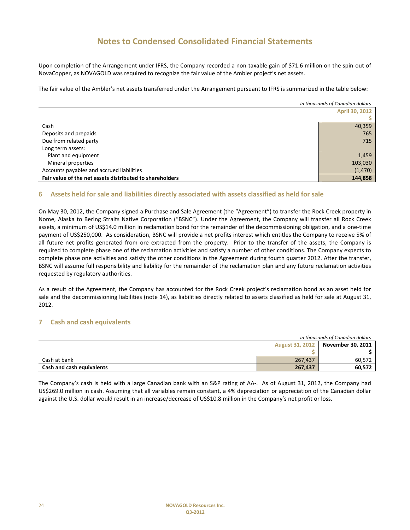Upon completion of the Arrangement under IFRS, the Company recorded a non-taxable gain of \$71.6 million on the spin-out of NovaCopper, as NOVAGOLD was required to recognize the fair value of the Ambler project's net assets.

The fair value of the Ambler's net assets transferred under the Arrangement pursuant to IFRS is summarized in the table below:

|                                                          | in thousands of Canadian dollars |
|----------------------------------------------------------|----------------------------------|
|                                                          | <b>April 30, 2012</b>            |
|                                                          |                                  |
| Cash                                                     | 40,359                           |
| Deposits and prepaids                                    | 765                              |
| Due from related party                                   | 715                              |
| Long term assets:                                        |                                  |
| Plant and equipment                                      | 1,459                            |
| Mineral properties                                       | 103,030                          |
| Accounts payables and accrued liabilities                | (1, 470)                         |
| Fair value of the net assets distributed to shareholders | 144,858                          |

#### **6 Assets held for sale and liabilities directly associated with assets classified as held for sale**

On May 30, 2012, the Company signed a Purchase and Sale Agreement (the "Agreement") to transfer the Rock Creek property in Nome, Alaska to Bering Straits Native Corporation ("BSNC"). Under the Agreement, the Company will transfer all Rock Creek assets, a minimum of US\$14.0 million in reclamation bond for the remainder of the decommissioning obligation, and a one-time payment of US\$250,000. As consideration, BSNC will provide a net profits interest which entitles the Company to receive 5% of all future net profits generated from ore extracted from the property. Prior to the transfer of the assets, the Company is required to complete phase one of the reclamation activities and satisfy a number of other conditions. The Company expects to complete phase one activities and satisfy the other conditions in the Agreement during fourth quarter 2012. After the transfer, BSNC will assume full responsibility and liability for the remainder of the reclamation plan and any future reclamation activities requested by regulatory authorities.

As a result of the Agreement, the Company has accounted for the Rock Creek project's reclamation bond as an asset held for sale and the decommissioning liabilities (note 14), as liabilities directly related to assets classified as held for sale at August 31, 2012.

#### **7 Cash and cash equivalents**

|                           |                        | in thousands of Canadian dollars |
|---------------------------|------------------------|----------------------------------|
|                           | <b>August 31, 2012</b> | November 30, 2011                |
|                           |                        |                                  |
| Cash at bank              | 267.437                | 60.572                           |
| Cash and cash equivalents | 267,437                | 60,572                           |

The Company's cash is held with a large Canadian bank with an S&P rating of AA-. As of August 31, 2012, the Company had US\$269.0 million in cash. Assuming that all variables remain constant, a 4% depreciation or appreciation of the Canadian dollar against the U.S. dollar would result in an increase/decrease of US\$10.8 million in the Company's net profit or loss.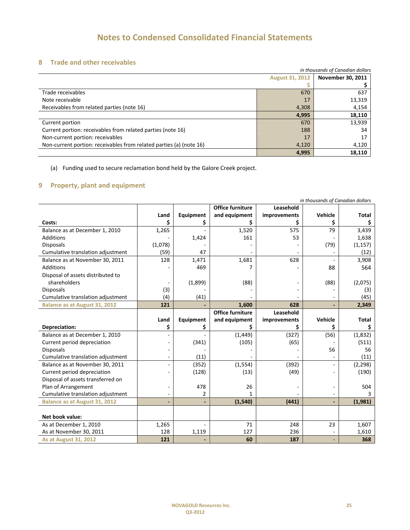#### **8 Trade and other receivables**

| in thousands of Canadian dollars                                    |                        |                          |
|---------------------------------------------------------------------|------------------------|--------------------------|
|                                                                     | <b>August 31, 2012</b> | <b>November 30, 2011</b> |
|                                                                     |                        |                          |
| Trade receivables                                                   | 670                    | 637                      |
| Note receivable                                                     | 17                     | 13,319                   |
| Receivables from related parties (note 16)                          | 4,308                  | 4,154                    |
|                                                                     | 4,995                  | 18,110                   |
| Current portion                                                     | 670                    | 13,939                   |
| Current portion: receivables from related parties (note 16)         | 188                    | 34                       |
| Non-current portion: receivables                                    | 17                     | 17                       |
| Non-current portion: receivables from related parties (a) (note 16) | 4,120                  | 4,120                    |
|                                                                     | 4,995                  | 18,110                   |

(a) Funding used to secure reclamation bond held by the Galore Creek project.

## **9 Property, plant and equipment**

| in thousands of Canadian dollars     |         |           |                         |              |         |              |
|--------------------------------------|---------|-----------|-------------------------|--------------|---------|--------------|
|                                      |         |           | <b>Office furniture</b> | Leasehold    |         |              |
|                                      | Land    | Equipment | and equipment           | improvements | Vehicle | <b>Total</b> |
| Costs:                               | \$      | \$        |                         |              |         |              |
| Balance as at December 1, 2010       | 1,265   |           | 1,520                   | 575          | 79      | 3,439        |
| <b>Additions</b>                     |         | 1,424     | 161                     | 53           |         | 1,638        |
| <b>Disposals</b>                     | (1,078) |           |                         |              | (79)    | (1, 157)     |
| Cumulative translation adjustment    | (59)    | 47        |                         |              |         | (12)         |
| Balance as at November 30, 2011      | 128     | 1,471     | 1,681                   | 628          |         | 3,908        |
| Additions                            |         | 469       |                         |              | 88      | 564          |
| Disposal of assets distributed to    |         |           |                         |              |         |              |
| shareholders                         |         | (1,899)   | (88)                    |              | (88)    | (2,075)      |
| <b>Disposals</b>                     | (3)     |           |                         |              |         | (3)          |
| Cumulative translation adjustment    | (4)     | (41)      |                         |              |         | (45)         |
| <b>Balance as at August 31, 2012</b> | 121     |           | 1,600                   | 628          |         | 2,349        |
|                                      |         |           | <b>Office furniture</b> | Leasehold    |         |              |
|                                      | Land    | Equipment | and equipment           | improvements | Vehicle | <b>Total</b> |
| Depreciation:                        | \$      | \$        |                         |              |         | S            |
| Balance as at December 1, 2010       |         |           | (1, 449)                | (327)        | (56)    | (1,832)      |
| Current period depreciation          |         | (341)     | (105)                   | (65)         |         | (511)        |
| <b>Disposals</b>                     |         |           |                         |              | 56      | 56           |
| Cumulative translation adjustment    |         | (11)      |                         |              |         | (11)         |
| Balance as at November 30, 2011      |         | (352)     | (1, 554)                | (392)        |         | (2, 298)     |
| Current period depreciation          |         | (128)     | (13)                    | (49)         |         | (190)        |
| Disposal of assets transferred on    |         |           |                         |              |         |              |
| Plan of Arrangement                  |         | 478       | 26                      |              |         | 504          |
| Cumulative translation adjustment    |         | 2         | 1                       |              |         |              |
| <b>Balance as at August 31, 2012</b> |         |           | (1,540)                 | (441)        |         | (1,981)      |
|                                      |         |           |                         |              |         |              |
| Net book value:                      |         |           |                         |              |         |              |
| As at December 1, 2010               | 1,265   |           | 71                      | 248          | 23      | 1,607        |
| As at November 30, 2011              | 128     | 1,119     | 127                     | 236          |         | 1,610        |
| <b>As at August 31, 2012</b>         | 121     |           | 60                      | 187          |         | 368          |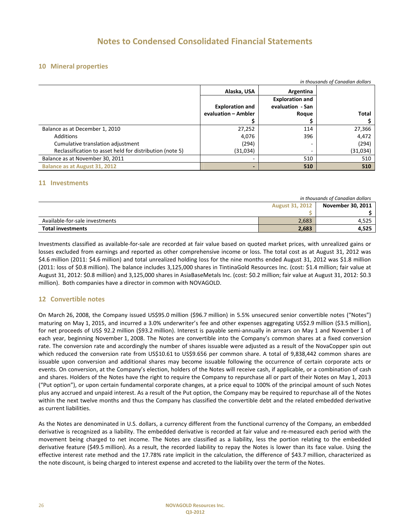#### **10 Mineral properties**

| in thousands of Canadian dollars                         |                          |                        |          |  |  |
|----------------------------------------------------------|--------------------------|------------------------|----------|--|--|
|                                                          | Alaska, USA<br>Argentina |                        |          |  |  |
|                                                          |                          | <b>Exploration and</b> |          |  |  |
|                                                          | <b>Exploration and</b>   | evaluation - San       |          |  |  |
|                                                          | evaluation - Ambler      | Roque                  | Total    |  |  |
|                                                          |                          |                        |          |  |  |
| Balance as at December 1, 2010                           | 27,252                   | 114                    | 27,366   |  |  |
| Additions                                                | 4,076                    | 396                    | 4,472    |  |  |
| Cumulative translation adjustment                        | (294)                    |                        | (294)    |  |  |
| Reclassification to asset held for distribution (note 5) | (31,034)                 |                        | (31,034) |  |  |
| Balance as at November 30, 2011                          |                          | 510                    | 510      |  |  |
| Balance as at August 31, 2012                            |                          | 510                    | 510      |  |  |

#### **11 Investments**

|                                |                        | in thousands of Canadian dollars |
|--------------------------------|------------------------|----------------------------------|
|                                | <b>August 31, 2012</b> | November 30, 2011                |
|                                |                        |                                  |
| Available-for-sale investments | 2,683                  | 4.525                            |
| <b>Total investments</b>       | 2,683                  | 4,525                            |

Investments classified as available-for-sale are recorded at fair value based on quoted market prices, with unrealized gains or losses excluded from earnings and reported as other comprehensive income or loss. The total cost as at August 31, 2012 was \$4.6 million (2011: \$4.6 million) and total unrealized holding loss for the nine months ended August 31, 2012 was \$1.8 million (2011: loss of \$0.8 million). The balance includes 3,125,000 shares in TintinaGold Resources Inc. (cost: \$1.4 million; fair value at August 31, 2012: \$0.8 million) and 3,125,000 shares in AsiaBaseMetals Inc. (cost: \$0.2 million; fair value at August 31, 2012: \$0.3 million). Both companies have a director in common with NOVAGOLD.

#### **12 Convertible notes**

On March 26, 2008, the Company issued US\$95.0 million (\$96.7 million) in 5.5% unsecured senior convertible notes ("Notes") maturing on May 1, 2015, and incurred a 3.0% underwriter's fee and other expenses aggregating US\$2.9 million (\$3.5 million), for net proceeds of US\$ 92.2 million (\$93.2 million). Interest is payable semi-annually in arrears on May 1 and November 1 of each year, beginning November 1, 2008. The Notes are convertible into the Company's common shares at a fixed conversion rate. The conversion rate and accordingly the number of shares issuable were adjusted as a result of the NovaCopper spin out which reduced the conversion rate from US\$10.61 to US\$9.656 per common share. A total of 9,838,442 common shares are issuable upon conversion and additional shares may become issuable following the occurrence of certain corporate acts or events. On conversion, at the Company's election, holders of the Notes will receive cash, if applicable, or a combination of cash and shares. Holders of the Notes have the right to require the Company to repurchase all or part of their Notes on May 1, 2013 ("Put option"), or upon certain fundamental corporate changes, at a price equal to 100% of the principal amount of such Notes plus any accrued and unpaid interest. As a result of the Put option, the Company may be required to repurchase all of the Notes within the next twelve months and thus the Company has classified the convertible debt and the related embedded derivative as current liabilities.

As the Notes are denominated in U.S. dollars, a currency different from the functional currency of the Company, an embedded derivative is recognized as a liability. The embedded derivative is recorded at fair value and re-measured each period with the movement being charged to net income. The Notes are classified as a liability, less the portion relating to the embedded derivative feature (\$49.5 million). As a result, the recorded liability to repay the Notes is lower than its face value. Using the effective interest rate method and the 17.78% rate implicit in the calculation, the difference of \$43.7 million, characterized as the note discount, is being charged to interest expense and accreted to the liability over the term of the Notes.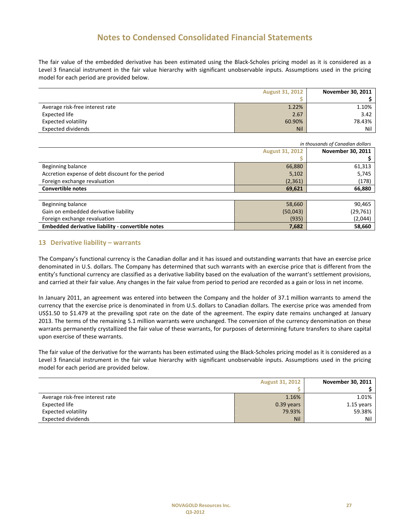The fair value of the embedded derivative has been estimated using the Black-Scholes pricing model as it is considered as a Level 3 financial instrument in the fair value hierarchy with significant unobservable inputs. Assumptions used in the pricing model for each period are provided below.

| <b>August 31, 2012</b>          |        | November 30, 2011 |
|---------------------------------|--------|-------------------|
|                                 |        |                   |
| Average risk-free interest rate | 1.22%  | 1.10%             |
| Expected life                   | 2.67   | 3.42              |
| Expected volatility             | 60.90% | 78.43%            |
| <b>Expected dividends</b>       | Nil    | Nil               |

| in thousands of Canadian dollars                  |          |                          |
|---------------------------------------------------|----------|--------------------------|
| <b>August 31, 2012</b>                            |          | <b>November 30, 2011</b> |
|                                                   |          |                          |
| Beginning balance                                 | 66,880   | 61,313                   |
| Accretion expense of debt discount for the period | 5,102    | 5,745                    |
| Foreign exchange revaluation                      | (2, 361) | (178)                    |
| <b>Convertible notes</b><br>69,621                |          | 66,880                   |
|                                                   |          |                          |
| Beginning balance                                 | 58,660   | 90,465                   |
| Gain on embedded derivative liability             | (50,043) | (29, 761)                |
| Foreign exchange revaluation                      | (935)    | (2,044)                  |
| Embedded derivative liability - convertible notes | 7,682    | 58,660                   |

#### **13 Derivative liability – warrants**

The Company's functional currency is the Canadian dollar and it has issued and outstanding warrants that have an exercise price denominated in U.S. dollars. The Company has determined that such warrants with an exercise price that is different from the entity's functional currency are classified as a derivative liability based on the evaluation of the warrant's settlement provisions, and carried at their fair value. Any changes in the fair value from period to period are recorded as a gain or loss in net income.

In January 2011, an agreement was entered into between the Company and the holder of 37.1 million warrants to amend the currency that the exercise price is denominated in from U.S. dollars to Canadian dollars. The exercise price was amended from US\$1.50 to \$1.479 at the prevailing spot rate on the date of the agreement. The expiry date remains unchanged at January 2013. The terms of the remaining 5.1 million warrants were unchanged. The conversion of the currency denomination on these warrants permanently crystallized the fair value of these warrants, for purposes of determining future transfers to share capital upon exercise of these warrants.

The fair value of the derivative for the warrants has been estimated using the Black-Scholes pricing model as it is considered as a Level 3 financial instrument in the fair value hierarchy with significant unobservable inputs. Assumptions used in the pricing model for each period are provided below.

| <b>August 31, 2012</b>          |              | November 30, 2011 |
|---------------------------------|--------------|-------------------|
|                                 |              |                   |
| Average risk-free interest rate | 1.16%        | 1.01%             |
| Expected life                   | $0.39$ years | $1.15$ years      |
| Expected volatility             | 79.93%       | 59.38%            |
| <b>Expected dividends</b>       | <b>Nil</b>   | Nil               |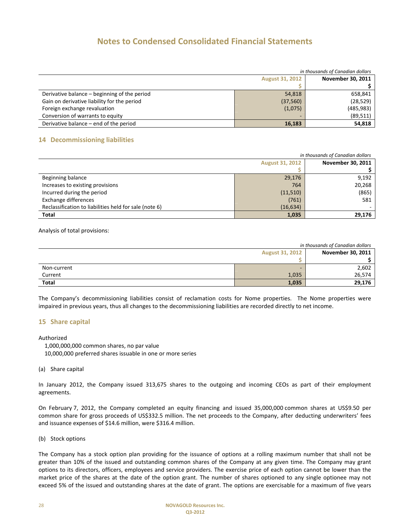| in thousands of Canadian dollars             |           |                          |
|----------------------------------------------|-----------|--------------------------|
| <b>August 31, 2012</b>                       |           | <b>November 30, 2011</b> |
|                                              |           |                          |
| Derivative balance - beginning of the period | 54,818    | 658,841                  |
| Gain on derivative liability for the period  | (37, 560) | (28, 529)                |
| Foreign exchange revaluation                 | (1,075)   | (485, 983)               |
| Conversion of warrants to equity             | -         | (89, 511)                |
| Derivative balance – end of the period       | 16,183    | 54,818                   |

#### **14 Decommissioning liabilities**

| in thousands of Canadian dollars                       |           |                          |
|--------------------------------------------------------|-----------|--------------------------|
| <b>August 31, 2012</b>                                 |           | <b>November 30, 2011</b> |
|                                                        |           |                          |
| Beginning balance                                      | 29,176    | 9,192                    |
| Increases to existing provisions                       | 764       | 20,268                   |
| Incurred during the period                             | (11,510)  | (865)                    |
| Exchange differences                                   | (761)     | 581                      |
| Reclassification to liabilities held for sale (note 6) | (16, 634) |                          |
| Total                                                  | 1,035     | 29,176                   |

Analysis of total provisions:

| in thousands of Canadian dollars |       |                   |  |
|----------------------------------|-------|-------------------|--|
| <b>August 31, 2012</b>           |       | November 30, 2011 |  |
|                                  |       |                   |  |
| Non-current                      | -     | 2,602             |  |
| Current                          | 1,035 | 26,574            |  |
| <b>Total</b>                     | 1,035 | 29,176            |  |

The Company's decommissioning liabilities consist of reclamation costs for Nome properties. The Nome properties were impaired in previous years, thus all changes to the decommissioning liabilities are recorded directly to net income.

#### **15 Share capital**

Authorized

1,000,000,000 common shares, no par value

10,000,000 preferred shares issuable in one or more series

(a) Share capital

In January 2012, the Company issued 313,675 shares to the outgoing and incoming CEOs as part of their employment agreements.

On February 7, 2012, the Company completed an equity financing and issued 35,000,000 common shares at US\$9.50 per common share for gross proceeds of US\$332.5 million. The net proceeds to the Company, after deducting underwriters' fees and issuance expenses of \$14.6 million, were \$316.4 million.

(b) Stock options

The Company has a stock option plan providing for the issuance of options at a rolling maximum number that shall not be greater than 10% of the issued and outstanding common shares of the Company at any given time. The Company may grant options to its directors, officers, employees and service providers. The exercise price of each option cannot be lower than the market price of the shares at the date of the option grant. The number of shares optioned to any single optionee may not exceed 5% of the issued and outstanding shares at the date of grant. The options are exercisable for a maximum of five years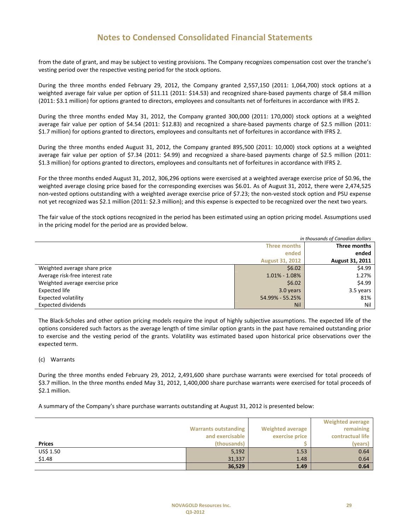from the date of grant, and may be subject to vesting provisions. The Company recognizes compensation cost over the tranche's vesting period over the respective vesting period for the stock options.

During the three months ended February 29, 2012, the Company granted 2,557,150 (2011: 1,064,700) stock options at a weighted average fair value per option of \$11.11 (2011: \$14.53) and recognized share-based payments charge of \$8.4 million (2011: \$3.1 million) for options granted to directors, employees and consultants net of forfeitures in accordance with IFRS 2.

During the three months ended May 31, 2012, the Company granted 300,000 (2011: 170,000) stock options at a weighted average fair value per option of \$4.54 (2011: \$12.83) and recognized a share-based payments charge of \$2.5 million (2011: \$1.7 million) for options granted to directors, employees and consultants net of forfeitures in accordance with IFRS 2.

During the three months ended August 31, 2012, the Company granted 895,500 (2011: 10,000) stock options at a weighted average fair value per option of \$7.34 (2011: \$4.99) and recognized a share-based payments charge of \$2.5 million (2011: \$1.3 million) for options granted to directors, employees and consultants net of forfeitures in accordance with IFRS 2.

For the three months ended August 31, 2012, 306,296 options were exercised at a weighted average exercise price of \$0.96, the weighted average closing price based for the corresponding exercises was \$6.01. As of August 31, 2012, there were 2,474,525 non-vested options outstanding with a weighted average exercise price of \$7.23; the non-vested stock option and PSU expense not yet recognized was \$2.1 million (2011: \$2.3 million); and this expense is expected to be recognized over the next two years.

The fair value of the stock options recognized in the period has been estimated using an option pricing model. Assumptions used in the pricing model for the period are as provided below.

| in thousands of Canadian dollars |                        |                        |
|----------------------------------|------------------------|------------------------|
| Three months                     |                        | Three months           |
|                                  | ended                  | ended                  |
|                                  | <b>August 31, 2012</b> | <b>August 31, 2011</b> |
| Weighted average share price     | \$6.02\$               | \$4.99                 |
| Average risk-free interest rate  | $1.01\% - 1.08\%$      | 1.27%                  |
| Weighted average exercise price  | \$6.02\$               | \$4.99                 |
| Expected life                    | 3.0 years              | 3.5 years              |
| <b>Expected volatility</b>       | 54.99% - 55.25%        | 81%                    |
| <b>Expected dividends</b>        | <b>Nil</b>             | Nil                    |

The Black-Scholes and other option pricing models require the input of highly subjective assumptions. The expected life of the options considered such factors as the average length of time similar option grants in the past have remained outstanding prior to exercise and the vesting period of the grants. Volatility was estimated based upon historical price observations over the expected term.

#### (c) Warrants

During the three months ended February 29, 2012, 2,491,600 share purchase warrants were exercised for total proceeds of \$3.7 million. In the three months ended May 31, 2012, 1,400,000 share purchase warrants were exercised for total proceeds of \$2.1 million.

A summary of the Company's share purchase warrants outstanding at August 31, 2012 is presented below:

|               |                             |                         | <b>Weighted average</b> |
|---------------|-----------------------------|-------------------------|-------------------------|
|               | <b>Warrants outstanding</b> | <b>Weighted average</b> | remaining               |
|               | and exercisable             | exercise price          | contractual life        |
| <b>Prices</b> | (thousands)                 |                         | (years)                 |
| US\$ 1.50     | 5,192                       | 1.53                    | 0.64                    |
| \$1.48        | 31,337                      | 1.48                    | 0.64                    |
|               | 36,529                      | 1.49                    | 0.64                    |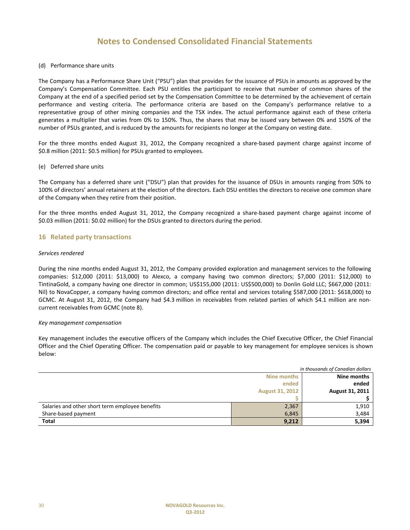#### (d) Performance share units

The Company has a Performance Share Unit ("PSU") plan that provides for the issuance of PSUs in amounts as approved by the Company's Compensation Committee. Each PSU entitles the participant to receive that number of common shares of the Company at the end of a specified period set by the Compensation Committee to be determined by the achievement of certain performance and vesting criteria. The performance criteria are based on the Company's performance relative to a representative group of other mining companies and the TSX index. The actual performance against each of these criteria generates a multiplier that varies from 0% to 150%. Thus, the shares that may be issued vary between 0% and 150% of the number of PSUs granted, and is reduced by the amounts for recipients no longer at the Company on vesting date.

For the three months ended August 31, 2012, the Company recognized a share-based payment charge against income of \$0.8 million (2011: \$0.5 million) for PSUs granted to employees.

#### (e) Deferred share units

The Company has a deferred share unit ("DSU") plan that provides for the issuance of DSUs in amounts ranging from 50% to 100% of directors' annual retainers at the election of the directors. Each DSU entitles the directors to receive one common share of the Company when they retire from their position.

For the three months ended August 31, 2012, the Company recognized a share-based payment charge against income of \$0.03 million (2011: \$0.02 million) for the DSUs granted to directors during the period.

#### **16 Related party transactions**

#### *Services rendered*

During the nine months ended August 31, 2012, the Company provided exploration and management services to the following companies: \$12,000 (2011: \$13,000) to Alexco, a company having two common directors; \$7,000 (2011: \$12,000) to TintinaGold, a company having one director in common; US\$155,000 (2011: US\$500,000) to Donlin Gold LLC; \$667,000 (2011: Nil) to NovaCopper, a company having common directors; and office rental and services totaling \$587,000 (2011: \$618,000) to GCMC. At August 31, 2012, the Company had \$4.3 million in receivables from related parties of which \$4.1 million are noncurrent receivables from GCMC (note 8).

#### *Key management compensation*

Key management includes the executive officers of the Company which includes the Chief Executive Officer, the Chief Financial Officer and the Chief Operating Officer. The compensation paid or payable to key management for employee services is shown below:

|                                                 |                        | in thousands of Canadian dollars |
|-------------------------------------------------|------------------------|----------------------------------|
|                                                 | Nine months            | Nine months                      |
|                                                 | ended                  | ended                            |
|                                                 | <b>August 31, 2012</b> | August 31, 2011                  |
|                                                 |                        |                                  |
| Salaries and other short term employee benefits | 2,367                  | 1,910                            |
| Share-based payment                             | 6,845                  | 3,484                            |
| <b>Total</b>                                    | 9,212                  | 5,394                            |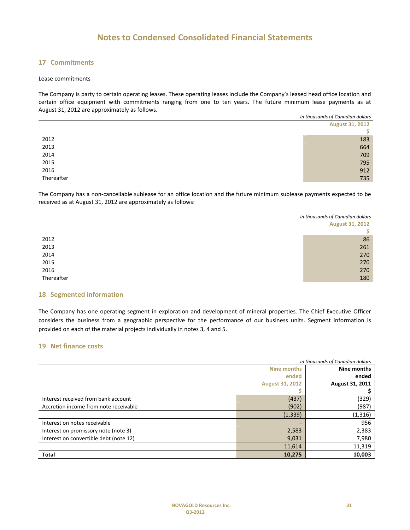### **17 Commitments**

#### Lease commitments

The Company is party to certain operating leases. These operating leases include the Company's leased head office location and certain office equipment with commitments ranging from one to ten years. The future minimum lease payments as at August 31, 2012 are approximately as follows.

|            | in thousands of Canadian dollars |  |
|------------|----------------------------------|--|
|            | <b>August 31, 2012</b>           |  |
|            | S.                               |  |
| 2012       | 183                              |  |
| 2013       | 664                              |  |
| 2014       | 709                              |  |
| 2015       | 795                              |  |
| 2016       | 912                              |  |
| Thereafter | 735                              |  |
|            |                                  |  |

The Company has a non-cancellable sublease for an office location and the future minimum sublease payments expected to be received as at August 31, 2012 are approximately as follows:

|            | in thousands of Canadian dollars |
|------------|----------------------------------|
|            | <b>August 31, 2012</b>           |
|            |                                  |
| 2012       | 86                               |
| 2013       | 261                              |
| 2014       | 270                              |
| 2015       | 270                              |
| 2016       | 270                              |
| Thereafter | 180                              |

#### **18 Segmented information**

The Company has one operating segment in exploration and development of mineral properties. The Chief Executive Officer considers the business from a geographic perspective for the performance of our business units. Segment information is provided on each of the material projects individually in notes 3, 4 and 5.

#### **19 Net finance costs**

| in thousands of Canadian dollars       |                        |                 |
|----------------------------------------|------------------------|-----------------|
|                                        | Nine months            | Nine months     |
|                                        | ended                  | ended           |
|                                        | <b>August 31, 2012</b> | August 31, 2011 |
|                                        |                        |                 |
| Interest received from bank account    | (437)                  | (329)           |
| Accretion income from note receivable  | (902)                  | (987)           |
|                                        | (1, 339)               | (1, 316)        |
| Interest on notes receivable           |                        | 956             |
| Interest on promissory note (note 3)   | 2,583                  | 2,383           |
| Interest on convertible debt (note 12) | 9,031                  | 7,980           |
|                                        | 11,614                 | 11,319          |
| <b>Total</b>                           | 10,275                 | 10,003          |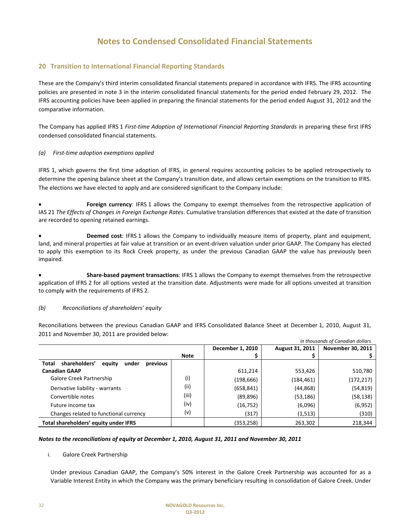#### **20 Transition to International Financial Reporting Standards**

These are the Company's third interim consolidated financial statements prepared in accordance with IFRS. The IFRS accounting policies are presented in note 3 in the interim consolidated financial statements for the period ended February 29, 2012. The IFRS accounting policies have been applied in preparing the financial statements for the period ended August 31, 2012 and the comparative information.

The Company has applied IFRS 1 *First-time Adoption of International Financial Reporting Standards* in preparing these first IFRS condensed consolidated financial statements.

#### *(a) First-time adoption exemptions applied*

IFRS 1, which governs the first time adoption of IFRS, in general requires accounting policies to be applied retrospectively to determine the opening balance sheet at the Company's transition date, and allows certain exemptions on the transition to IFRS. The elections we have elected to apply and are considered significant to the Company include:

• **Foreign currency**: IFRS 1 allows the Company to exempt themselves from the retrospective application of IAS 21 *The Effects of Changes in Foreign Exchange Rates*. Cumulative translation differences that existed at the date of transition are recorded to opening retained earnings.

• **Deemed cost**: IFRS 1 allows the Company to individually measure items of property, plant and equipment, land, and mineral properties at fair value at transition or an event-driven valuation under prior GAAP. The Company has elected to apply this exemption to its Rock Creek property, as under the previous Canadian GAAP the value has previously been impaired.

• **Share-based payment transactions**: IFRS 1 allows the Company to exempt themselves from the retrospective application of IFRS 2 for all options vested at the transition date. Adjustments were made for all options unvested at transition to comply with the requirements of IFRS 2.

#### *(b) Reconciliations of shareholders' equity*

Reconciliations between the previous Canadian GAAP and IFRS Consolidated Balance Sheet at December 1, 2010, August 31, 2011 and November 30, 2011 are provided below:

| in thousands of Canadian dollars                      |             |                  |                        |                          |
|-------------------------------------------------------|-------------|------------------|------------------------|--------------------------|
|                                                       |             | December 1, 2010 | <b>August 31, 2011</b> | <b>November 30, 2011</b> |
|                                                       | <b>Note</b> |                  |                        |                          |
| shareholders'<br>previous<br>Total<br>equity<br>under |             |                  |                        |                          |
| <b>Canadian GAAP</b>                                  |             | 611,214          | 553,426                | 510,780                  |
| Galore Creek Partnership                              | (i)         | (198,666)        | (184,461)              | (172, 217)               |
| Derivative liability - warrants                       | (ii)        | (658, 841)       | (44, 868)              | (54, 819)                |
| Convertible notes                                     | (iii)       | (89, 896)        | (53, 186)              | (58, 138)                |
| Future income tax                                     | (iv)        | (16, 752)        | (6,096)                | (6, 952)                 |
| Changes related to functional currency                | (v)         | (317)            | (1, 513)               | (310)                    |
| Total shareholders' equity under IFRS                 |             | (353,258)        | 263,302                | 218,344                  |

#### *Notes to the reconciliations of equity at December 1, 2010, August 31, 2011 and November 30, 2011*

#### i. Galore Creek Partnership

Under previous Canadian GAAP, the Company's 50% interest in the Galore Creek Partnership was accounted for as a Variable Interest Entity in which the Company was the primary beneficiary resulting in consolidation of Galore Creek. Under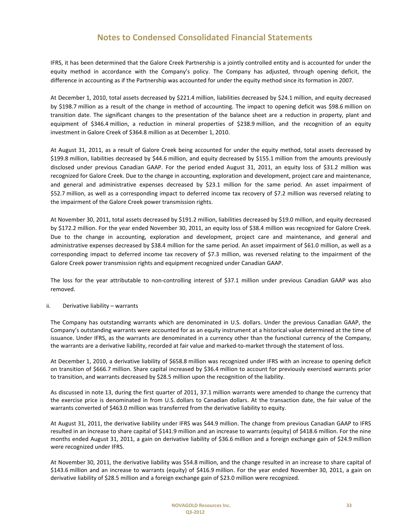IFRS, it has been determined that the Galore Creek Partnership is a jointly controlled entity and is accounted for under the equity method in accordance with the Company's policy. The Company has adjusted, through opening deficit, the difference in accounting as if the Partnership was accounted for under the equity method since its formation in 2007.

At December 1, 2010, total assets decreased by \$221.4 million, liabilities decreased by \$24.1 million, and equity decreased by \$198.7 million as a result of the change in method of accounting. The impact to opening deficit was \$98.6 million on transition date. The significant changes to the presentation of the balance sheet are a reduction in property, plant and equipment of \$346.4 million, a reduction in mineral properties of \$238.9 million, and the recognition of an equity investment in Galore Creek of \$364.8 million as at December 1, 2010.

At August 31, 2011, as a result of Galore Creek being accounted for under the equity method, total assets decreased by \$199.8 million, liabilities decreased by \$44.6 million, and equity decreased by \$155.1 million from the amounts previously disclosed under previous Canadian GAAP. For the period ended August 31, 2011, an equity loss of \$31.2 million was recognized for Galore Creek. Due to the change in accounting, exploration and development, project care and maintenance, and general and administrative expenses decreased by \$23.1 million for the same period. An asset impairment of \$52.7 million, as well as a corresponding impact to deferred income tax recovery of \$7.2 million was reversed relating to the impairment of the Galore Creek power transmission rights.

At November 30, 2011, total assets decreased by \$191.2 million, liabilities decreased by \$19.0 million, and equity decreased by \$172.2 million. For the year ended November 30, 2011, an equity loss of \$38.4 million was recognized for Galore Creek. Due to the change in accounting, exploration and development, project care and maintenance, and general and administrative expenses decreased by \$38.4 million for the same period. An asset impairment of \$61.0 million, as well as a corresponding impact to deferred income tax recovery of \$7.3 million, was reversed relating to the impairment of the Galore Creek power transmission rights and equipment recognized under Canadian GAAP.

The loss for the year attributable to non-controlling interest of \$37.1 million under previous Canadian GAAP was also removed.

#### ii. Derivative liability – warrants

The Company has outstanding warrants which are denominated in U.S. dollars. Under the previous Canadian GAAP, the Company's outstanding warrants were accounted for as an equity instrument at a historical value determined at the time of issuance. Under IFRS, as the warrants are denominated in a currency other than the functional currency of the Company, the warrants are a derivative liability, recorded at fair value and marked-to-market through the statement of loss.

At December 1, 2010, a derivative liability of \$658.8 million was recognized under IFRS with an increase to opening deficit on transition of \$666.7 million. Share capital increased by \$36.4 million to account for previously exercised warrants prior to transition, and warrants decreased by \$28.5 million upon the recognition of the liability.

As discussed in note 13, during the first quarter of 2011, 37.1 million warrants were amended to change the currency that the exercise price is denominated in from U.S. dollars to Canadian dollars. At the transaction date, the fair value of the warrants converted of \$463.0 million was transferred from the derivative liability to equity.

At August 31, 2011, the derivative liability under IFRS was \$44.9 million. The change from previous Canadian GAAP to IFRS resulted in an increase to share capital of \$141.9 million and an increase to warrants (equity) of \$418.6 million. For the nine months ended August 31, 2011, a gain on derivative liability of \$36.6 million and a foreign exchange gain of \$24.9 million were recognized under IFRS.

At November 30, 2011, the derivative liability was \$54.8 million, and the change resulted in an increase to share capital of \$143.6 million and an increase to warrants (equity) of \$416.9 million. For the year ended November 30, 2011, a gain on derivative liability of \$28.5 million and a foreign exchange gain of \$23.0 million were recognized.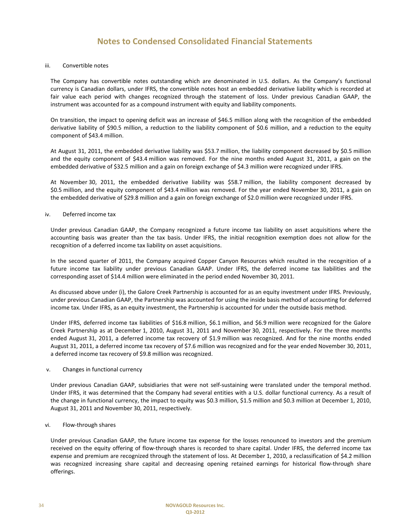#### iii. Convertible notes

The Company has convertible notes outstanding which are denominated in U.S. dollars. As the Company's functional currency is Canadian dollars, under IFRS, the convertible notes host an embedded derivative liability which is recorded at fair value each period with changes recognized through the statement of loss. Under previous Canadian GAAP, the instrument was accounted for as a compound instrument with equity and liability components.

On transition, the impact to opening deficit was an increase of \$46.5 million along with the recognition of the embedded derivative liability of \$90.5 million, a reduction to the liability component of \$0.6 million, and a reduction to the equity component of \$43.4 million.

At August 31, 2011, the embedded derivative liability was \$53.7 million, the liability component decreased by \$0.5 million and the equity component of \$43.4 million was removed. For the nine months ended August 31, 2011, a gain on the embedded derivative of \$32.5 million and a gain on foreign exchange of \$4.3 million were recognized under IFRS.

At November 30, 2011, the embedded derivative liability was \$58.7 million, the liability component decreased by \$0.5 million, and the equity component of \$43.4 million was removed. For the year ended November 30, 2011, a gain on the embedded derivative of \$29.8 million and a gain on foreign exchange of \$2.0 million were recognized under IFRS.

#### iv. Deferred income tax

Under previous Canadian GAAP, the Company recognized a future income tax liability on asset acquisitions where the accounting basis was greater than the tax basis. Under IFRS, the initial recognition exemption does not allow for the recognition of a deferred income tax liability on asset acquisitions.

In the second quarter of 2011, the Company acquired Copper Canyon Resources which resulted in the recognition of a future income tax liability under previous Canadian GAAP. Under IFRS, the deferred income tax liabilities and the corresponding asset of \$14.4 million were eliminated in the period ended November 30, 2011.

As discussed above under (i), the Galore Creek Partnership is accounted for as an equity investment under IFRS. Previously, under previous Canadian GAAP, the Partnership was accounted for using the inside basis method of accounting for deferred income tax. Under IFRS, as an equity investment, the Partnership is accounted for under the outside basis method.

Under IFRS, deferred income tax liabilities of \$16.8 million, \$6.1 million, and \$6.9 million were recognized for the Galore Creek Partnership as at December 1, 2010, August 31, 2011 and November 30, 2011, respectively. For the three months ended August 31, 2011, a deferred income tax recovery of \$1.9 million was recognized. And for the nine months ended August 31, 2011, a deferred income tax recovery of \$7.6 million was recognized and for the year ended November 30, 2011, a deferred income tax recovery of \$9.8 million was recognized.

#### v. Changes in functional currency

Under previous Canadian GAAP, subsidiaries that were not self-sustaining were translated under the temporal method. Under IFRS, it was determined that the Company had several entities with a U.S. dollar functional currency. As a result of the change in functional currency, the impact to equity was \$0.3 million, \$1.5 million and \$0.3 million at December 1, 2010, August 31, 2011 and November 30, 2011, respectively.

#### vi. Flow-through shares

Under previous Canadian GAAP, the future income tax expense for the losses renounced to investors and the premium received on the equity offering of flow-through shares is recorded to share capital. Under IFRS, the deferred income tax expense and premium are recognized through the statement of loss. At December 1, 2010, a reclassification of \$4.2 million was recognized increasing share capital and decreasing opening retained earnings for historical flow-through share offerings.